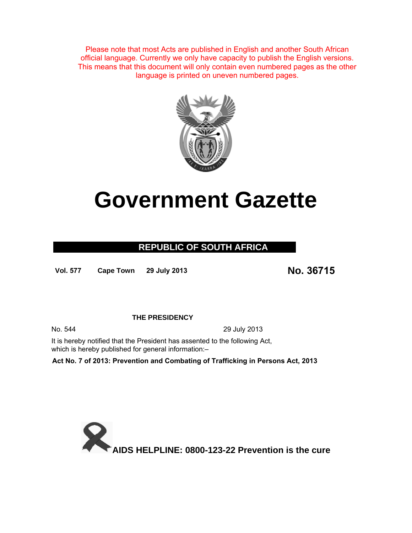Please note that most Acts are published in English and another South African official language. Currently we only have capacity to publish the English versions. This means that this document will only contain even numbered pages as the other language is printed on uneven numbered pages.



# **Government Gazette**

### **REPUBLIC OF SOUTH AFRICA**

**Vol. 577 Cape Town 29 July 2013 No. 36715**

#### **THE PRESIDENCY**

No. 544 29 July 2013

It is hereby notified that the President has assented to the following Act, which is hereby published for general information:-

**Act No. 7 of 2013: Prevention and Combating of Trafficking in Persons Act, 2013**

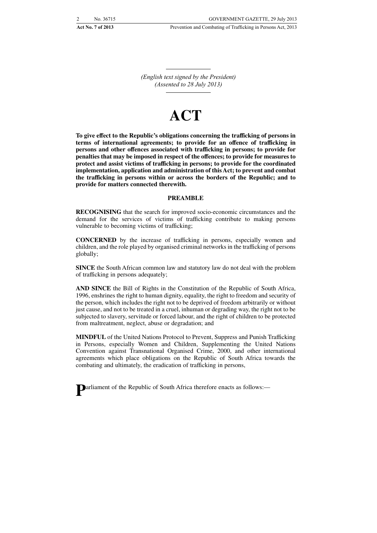*(English text signed by the President) (Assented to 28 July 2013)*

## **ACT**

**To give effect to the Republic's obligations concerning the trafficking of persons in terms of international agreements; to provide for an offence of trafficking in persons and other offences associated with trafficking in persons; to provide for penalties that may be imposed in respect of the offences; to provide for measures to protect and assist victims of trafficking in persons; to provide for the coordinated implementation, application and administration of this Act; to prevent and combat the trafficking in persons within or across the borders of the Republic; and to provide for matters connected therewith.**

#### **PREAMBLE**

**RECOGNISING** that the search for improved socio-economic circumstances and the demand for the services of victims of trafficking contribute to making persons vulnerable to becoming victims of trafficking;

**CONCERNED** by the increase of trafficking in persons, especially women and children, and the role played by organised criminal networks in the trafficking of persons globally;

**SINCE** the South African common law and statutory law do not deal with the problem of trafficking in persons adequately;

**AND SINCE** the Bill of Rights in the Constitution of the Republic of South Africa, 1996, enshrines the right to human dignity, equality, the right to freedom and security of the person, which includes the right not to be deprived of freedom arbitrarily or without just cause, and not to be treated in a cruel, inhuman or degrading way, the right not to be subjected to slavery, servitude or forced labour, and the right of children to be protected from maltreatment, neglect, abuse or degradation; and

**MINDFUL** of the United Nations Protocol to Prevent, Suppress and Punish Trafficking in Persons, especially Women and Children, Supplementing the United Nations Convention against Transnational Organised Crime, 2000, and other international agreements which place obligations on the Republic of South Africa towards the combating and ultimately, the eradication of trafficking in persons,

**P**arliament of the Republic of South Africa therefore enacts as follows:—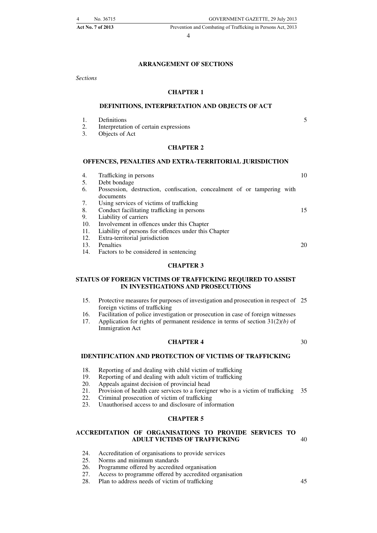Act No. 7 of 2013 Prevention and Combating of Trafficking in Persons Act, 2013

4

#### **ARRANGEMENT OF SECTIONS**

*Sections*

#### **CHAPTER 1**

#### **DEFINITIONS, INTERPRETATION AND OBJECTS OF ACT**

- 1. Definitions
- 2. Interpretation of certain expressions
- 3. Objects of Act

#### **CHAPTER 2**

#### **OFFENCES, PENALTIES AND EXTRA-TERRITORIAL JURISDICTION**

| 4.  | Trafficking in persons                                                               | 10 |
|-----|--------------------------------------------------------------------------------------|----|
| 5.  | Debt bondage                                                                         |    |
| 6.  | Possession, destruction, confiscation, concealment of or tampering with<br>documents |    |
| 7.  | Using services of victims of trafficking                                             |    |
| 8.  | Conduct facilitating trafficking in persons                                          | 15 |
| 9.  | Liability of carriers                                                                |    |
| 10. | Involvement in offences under this Chapter                                           |    |
| 11. | Liability of persons for offences under this Chapter                                 |    |
| 12. | Extra-territorial jurisdiction                                                       |    |
| 13. | Penalties                                                                            | 20 |
| 14. | Factors to be considered in sentencing                                               |    |
|     |                                                                                      |    |

#### **CHAPTER 3**

#### **STATUS OF FOREIGN VICTIMS OF TRAFFICKING REQUIRED TO ASSIST IN INVESTIGATIONS AND PROSECUTIONS**

- 15. Protective measures for purposes of investigation and prosecution in respect of 25 foreign victims of trafficking
- 16. Facilitation of police investigation or prosecution in case of foreign witnesses
- 17. Application for rights of permanent residence in terms of section 31(2)*(b)* of Immigration Act

#### **CHAPTER 4**

30

5

#### **IDENTIFICATION AND PROTECTION OF VICTIMS OF TRAFFICKING**

- 18. Reporting of and dealing with child victim of trafficking<br>19. Reporting of and dealing with adult victim of trafficking
- 19. Reporting of and dealing with adult victim of trafficking<br>20. Appeals against decision of provincial head
- 20. Appeals against decision of provincial head<br>21. Provision of health care services to a foreign
- 21. Provision of health care services to a foreigner who is a victim of trafficking 35
- 22. Criminal prosecution of victim of trafficking<br>23. Unauthorised access to and disclosure of info
- Unauthorised access to and disclosure of information

#### **CHAPTER 5**

#### **ACCREDITATION OF ORGANISATIONS TO PROVIDE SERVICES TO ADULT VICTIMS OF TRAFFICKING**

- 24. Accreditation of organisations to provide services<br>25. Norms and minimum standards
- 25. Norms and minimum standards<br>26. Programme offered by accredite
- Programme offered by accredited organisation
- 27. Access to programme offered by accredited organisation
- 28. Plan to address needs of victim of trafficking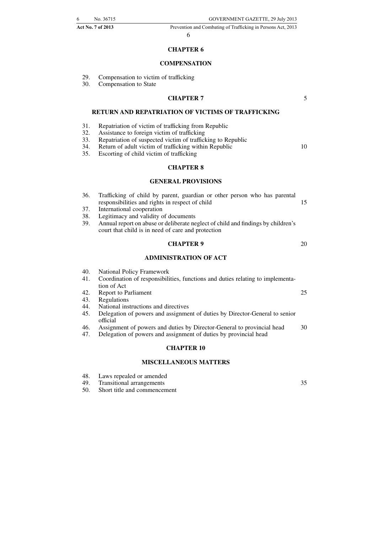#### **CHAPTER 6**

#### **COMPENSATION**

- 29. Compensation to victim of trafficking<br>30. Compensation to State
- Compensation to State

#### **CHAPTER 7**

5

10

20

25

35

#### **RETURN AND REPATRIATION OF VICTIMS OF TRAFFICKING**

- 31. Repatriation of victim of trafficking from Republic
- 32. Assistance to foreign victim of trafficking
- 33. Repatriation of suspected victim of trafficking to Republic
- 34. Return of adult victim of trafficking within Republic
- 35. Escorting of child victim of trafficking

#### **CHAPTER 8**

#### **GENERAL PROVISIONS**

- 36. Trafficking of child by parent, guardian or other person who has parental responsibilities and rights in respect of child 15
- 37. International cooperation
- 38. Legitimacy and validity of documents
- 39. Annual report on abuse or deliberate neglect of child and findings by children's court that child is in need of care and protection

#### **CHAPTER 9**

#### **ADMINISTRATION OF ACT**

- 40. National Policy Framework
- 41. Coordination of responsibilities, functions and duties relating to implementation of Act
- 42. Report to Parliament
- 43. Regulations
- 44. National instructions and directives
- 45. Delegation of powers and assignment of duties by Director-General to senior official
- 46. Assignment of powers and duties by Director-General to provincial head 30
- 47. Delegation of powers and assignment of duties by provincial head

#### **CHAPTER 10**

#### **MISCELLANEOUS MATTERS**

- 48. Laws repealed or amended
- 49. Transitional arrangements
- 50. Short title and commencement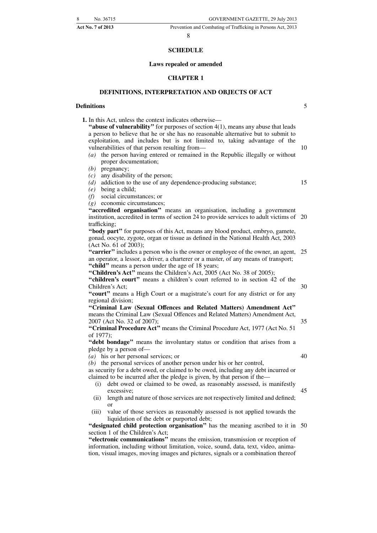#### 8

#### **SCHEDULE**

#### **Laws repealed or amended**

#### **CHAPTER 1**

#### **DEFINITIONS, INTERPRETATION AND OBJECTS OF ACT**

#### **Definitions**

**1.** In this Act, unless the context indicates otherwise—

**''abuse of vulnerability''** for purposes of section 4(1), means any abuse that leads a person to believe that he or she has no reasonable alternative but to submit to exploitation, and includes but is not limited to, taking advantage of the vulnerabilities of that person resulting from—

- *(a)* the person having entered or remained in the Republic illegally or without proper documentation;
- *(b)* pregnancy;
- *(c)* any disability of the person;

*(d)* addiction to the use of any dependence-producing substance;

- *(e)* being a child;
- *(f)* social circumstances; or

*(g)* economic circumstances;

**''accredited organisation''** means an organisation, including a government institution, accredited in terms of section 24 to provide services to adult victims of 20 trafficking;

**''body part''** for purposes of this Act, means any blood product, embryo, gamete, gonad, oocyte, zygote, organ or tissue as defined in the National Health Act, 2003 (Act No. 61 of 2003);

**"carrier"** includes a person who is the owner or employee of the owner, an agent, 25 an operator, a lessor, a driver, a charterer or a master, of any means of transport; "child" means a person under the age of 18 years;

"Children's Act<sup>3</sup>" means the Children's Act, 2005 (Act No. 38 of 2005);

"children's court" means a children's court referred to in section 42 of the Children's Act;

**''court''** means a High Court or a magistrate's court for any district or for any regional division;

**''Criminal Law (Sexual Offences and Related Matters) Amendment Act''** means the Criminal Law (Sexual Offences and Related Matters) Amendment Act, 2007 (Act No. 32 of 2007);

**''Criminal Procedure Act''** means the Criminal Procedure Act, 1977 (Act No. 51 of 1977);

**''debt bondage''** means the involuntary status or condition that arises from a pledge by a person of—

*(a)* his or her personal services; or

*(b)* the personal services of another person under his or her control,

as security for a debt owed, or claimed to be owed, including any debt incurred or claimed to be incurred after the pledge is given, by that person if the—

- (i) debt owed or claimed to be owed, as reasonably assessed, is manifestly excessive;
- (ii) length and nature of those services are not respectively limited and defined; or
- (iii) value of those services as reasonably assessed is not applied towards the liquidation of the debt or purported debt;

**"designated child protection organisation"** has the meaning ascribed to it in 50 section 1 of the Children's Act;

**''electronic communications''** means the emission, transmission or reception of information, including without limitation, voice, sound, data, text, video, animation, visual images, moving images and pictures, signals or a combination thereof 5

10

15

30

40

45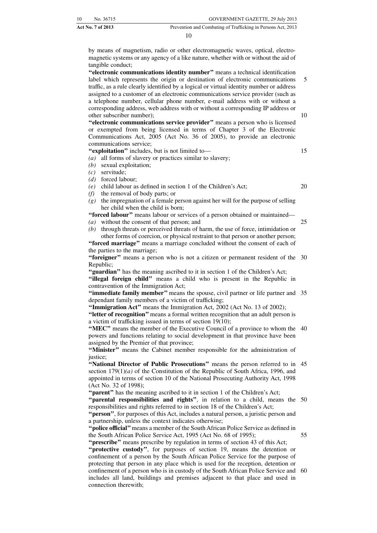|     | GOVERNMENT GAZETTE, 29 July 2013                                                                                                                                                                                                                      | No. 36715         | 10 |
|-----|-------------------------------------------------------------------------------------------------------------------------------------------------------------------------------------------------------------------------------------------------------|-------------------|----|
|     | Prevention and Combating of Trafficking in Persons Act, 2013                                                                                                                                                                                          | Act No. 7 of 2013 |    |
|     | 10                                                                                                                                                                                                                                                    |                   |    |
|     | by means of magnetism, radio or other electromagnetic waves, optical, electro-<br>magnetic systems or any agency of a like nature, whether with or without the aid of<br>"electronic communications identity number" means a technical identification | tangible conduct; |    |
| - 5 | label which represents the origin or destination of electronic communications<br>traffic, as a rule clearly identified by a logical or virtual identity number or address                                                                             |                   |    |

assigned to a customer of an electronic communications service provider (such as a telephone number, cellular phone number, e-mail address with or without a corresponding address, web address with or without a corresponding IP address or other subscriber number); 10

**''electronic communications service provider''** means a person who is licensed or exempted from being licensed in terms of Chapter 3 of the Electronic Communications Act, 2005 (Act No. 36 of 2005), to provide an electronic communications service;

**''exploitation''** includes, but is not limited to—

- *(a)* all forms of slavery or practices similar to slavery;
- *(b)* sexual exploitation;
- *(c)* servitude;
- *(d)* forced labour;
- *(e)* child labour as defined in section 1 of the Children's Act;
- *(f)* the removal of body parts; or
- *(g)* the impregnation of a female person against her will for the purpose of selling her child when the child is born;

**''forced labour''** means labour or services of a person obtained or maintained—

*(a)* without the consent of that person; and

*(b)* through threats or perceived threats of harm, the use of force, intimidation or other forms of coercion, or physical restraint to that person or another person;

**''forced marriage''** means a marriage concluded without the consent of each of the parties to the marriage;

"foreigner" means a person who is not a citizen or permanent resident of the 30 Republic;

**''guardian''** has the meaning ascribed to it in section 1 of the Children's Act; **''illegal foreign child''** means a child who is present in the Republic in contravention of the Immigration Act;

**"immediate family member"** means the spouse, civil partner or life partner and 35 dependant family members of a victim of trafficking;

**''Immigration Act''** means the Immigration Act, 2002 (Act No. 13 of 2002);

**''letter of recognition''** means a formal written recognition that an adult person is a victim of trafficking issued in terms of section 19(10);

**"MEC"** means the member of the Executive Council of a province to whom the 40 powers and functions relating to social development in that province have been assigned by the Premier of that province;

**''Minister''** means the Cabinet member responsible for the administration of justice;

"National Director of Public Prosecutions" means the person referred to in 45 section 179(1)*(a)* of the Constitution of the Republic of South Africa, 1996, and appointed in terms of section 10 of the National Prosecuting Authority Act, 1998 (Act No. 32 of 1998);

"parent" has the meaning ascribed to it in section 1 of the Children's Act;

"parental responsibilities and rights", in relation to a child, means the 50 responsibilities and rights referred to in section 18 of the Children's Act;

**''person''**, for purposes of this Act, includes a natural person, a juristic person and a partnership, unless the context indicates otherwise;

**''police official''**means a member of the South African Police Service as defined in the South African Police Service Act, 1995 (Act No. 68 of 1995);

**''prescribe''** means prescribe by regulation in terms of section 43 of this Act; **''protective custody''**, for purposes of section 19, means the detention or confinement of a person by the South African Police Service for the purpose of protecting that person in any place which is used for the reception, detention or confinement of a person who is in custody of the South African Police Service and 60includes all land, buildings and premises adjacent to that place and used in connection therewith;

20

25

55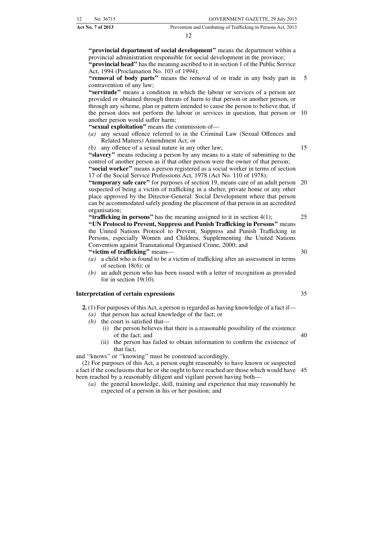| 12 <sup>12</sup> | No. 36715                | GOVERNMENT GAZETTE, 29 July 2013                             |
|------------------|--------------------------|--------------------------------------------------------------|
|                  | <b>Act No. 7 of 2013</b> | Prevention and Combating of Trafficking in Persons Act, 2013 |

**''provincial department of social development''** means the department within a provincial administration responsible for social development in the province; **''provincial head''** has the meaning ascribed to it in section 1 of the Public Service Act, 1994 (Proclamation No. 103 of 1994); **''removal of body parts''** means the removal of or trade in any body part in contravention of any law;

**''servitude''** means a condition in which the labour or services of a person are provided or obtained through threats of harm to that person or another person, or through any scheme, plan or pattern intended to cause the person to believe that, if the person does not perform the labour or services in question, that person or 10 another person would suffer harm;

**''sexual exploitation''** means the commission of—

- *(a)* any sexual offence referred to in the Criminal Law (Sexual Offences and Related Matters) Amendment Act; or
- *(b)* any offence of a sexual nature in any other law;

**''slavery''** means reducing a person by any means to a state of submitting to the control of another person as if that other person were the owner of that person; **''social worker''** means a person registered as a social worker in terms of section 17 of the Social Service Professions Act, 1978 (Act No. 110 of 1978);

**"temporary safe care"** for purposes of section 19, means care of an adult person 20 suspected of being a victim of trafficking in a shelter, private home or any other place approved by the Director-General: Social Development where that person can be accommodated safely pending the placement of that person in an accredited organisation;

**"trafficking in persons"** has the meaning assigned to it in section 4(1); **''UN Protocol to Prevent, Suppress and Punish Trafficking in Persons''** means the United Nations Protocol to Prevent, Suppress and Punish Trafficking in Persons, especially Women and Children, Supplementing the United Nations Convention against Transnational Organised Crime, 2000; and **''victim of trafficking''** means—

- *(a)* a child who is found to be a victim of trafficking after an assessment in terms of section 18(6); or
- *(b)* an adult person who has been issued with a letter of recognition as provided for in section 19(10).

#### **Interpretation of certain expressions**

- **2.** (1) For purposes of this Act, a person is regarded as having knowledge of a fact if—
	- *(a)* that person has actual knowledge of the fact; or
	- *(b)* the court is satisfied that—
		- (i) the person believes that there is a reasonable possibility of the existence of the fact; and
		- (ii) the person has failed to obtain information to confirm the existence of that fact,

and ''knows'' or ''knowing'' must be construed accordingly.

(2) For purposes of this Act, a person ought reasonably to have known or suspected a fact if the conclusions that he or she ought to have reached are those which would have 45been reached by a reasonably diligent and vigilant person having both—

*(a)* the general knowledge, skill, training and experience that may reasonably be expected of a person in his or her position; and

35

40

30

25

5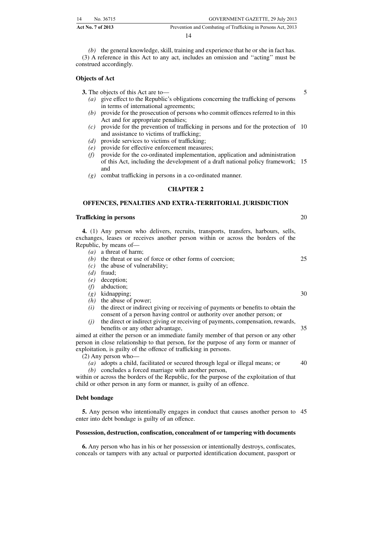| 14 | No. 36715                | GOVERNMENT GAZETTE, 29 July 2013                             |
|----|--------------------------|--------------------------------------------------------------|
|    | <b>Act No. 7 of 2013</b> | Prevention and Combating of Trafficking in Persons Act, 2013 |

*(b)* the general knowledge, skill, training and experience that he or she in fact has. (3) A reference in this Act to any act, includes an omission and ''acting'' must be construed accordingly.

#### **Objects of Act**

**3.** The objects of this Act are to—

- *(a)* give effect to the Republic's obligations concerning the trafficking of persons in terms of international agreements;
- *(b)* provide for the prosecution of persons who commit offences referred to in this Act and for appropriate penalties;
- *(c)* provide for the prevention of trafficking in persons and for the protection of 10 and assistance to victims of trafficking;
- *(d)* provide services to victims of trafficking;
- *(e)* provide for effective enforcement measures;
- *(f)* provide for the co-ordinated implementation, application and administration of this Act, including the development of a draft national policy framework; 15 and
- *(g)* combat trafficking in persons in a co-ordinated manner.

#### **CHAPTER 2**

#### **OFFENCES, PENALTIES AND EXTRA-TERRITORIAL JURISDICTION**

#### **Trafficking in persons**

**4.** (1) Any person who delivers, recruits, transports, transfers, harbours, sells, exchanges, leases or receives another person within or across the borders of the Republic, by means of—

- *(a)* a threat of harm;
- *(b)* the threat or use of force or other forms of coercion;
- *(c)* the abuse of vulnerability;
- *(d)* fraud;
- *(e)* deception;
- *(f)* abduction;
- *(g)* kidnapping;
- *(h)* the abuse of power;
- *(i)* the direct or indirect giving or receiving of payments or benefits to obtain the consent of a person having control or authority over another person; or
- *(j)* the direct or indirect giving or receiving of payments, compensation, rewards, benefits or any other advantage,

aimed at either the person or an immediate family member of that person or any other person in close relationship to that person, for the purpose of any form or manner of exploitation, is guilty of the offence of trafficking in persons.

(2) Any person who—

*(a)* adopts a child, facilitated or secured through legal or illegal means; or 40

*(b)* concludes a forced marriage with another person,

within or across the borders of the Republic, for the purpose of the exploitation of that child or other person in any form or manner, is guilty of an offence.

#### **Debt bondage**

**5.** Any person who intentionally engages in conduct that causes another person to 45enter into debt bondage is guilty of an offence.

#### **Possession, destruction, confiscation, concealment of or tampering with documents**

**6.** Any person who has in his or her possession or intentionally destroys, confiscates, conceals or tampers with any actual or purported identification document, passport or

25

20

5

30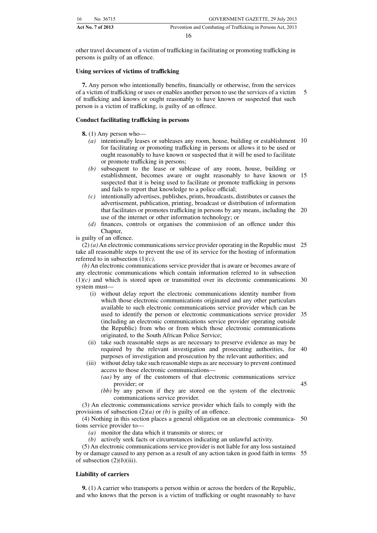| 16<br>No. 36715   | GOVERNMENT GAZETTE, 29 July 2013                             |
|-------------------|--------------------------------------------------------------|
| Act No. 7 of 2013 | Prevention and Combating of Trafficking in Persons Act, 2013 |
|                   |                                                              |

other travel document of a victim of trafficking in facilitating or promoting trafficking in persons is guilty of an offence.

#### **Using services of victims of trafficking**

**7.** Any person who intentionally benefits, financially or otherwise, from the services of a victim of trafficking or uses or enables another person to use the services of a victim of trafficking and knows or ought reasonably to have known or suspected that such person is a victim of trafficking, is guilty of an offence. 5

#### **Conduct facilitating trafficking in persons**

**8.** (1) Any person who—

- *(a)* intentionally leases or subleases any room, house, building or establishment 10 for facilitating or promoting trafficking in persons or allows it to be used or ought reasonably to have known or suspected that it will be used to facilitate or promote trafficking in persons;
- *(b)* subsequent to the lease or sublease of any room, house, building or establishment, becomes aware or ought reasonably to have known or 15 suspected that it is being used to facilitate or promote trafficking in persons and fails to report that knowledge to a police official;
- *(c)* intentionally advertises, publishes, prints, broadcasts, distributes or causes the advertisement, publication, printing, broadcast or distribution of information that facilitates or promotes trafficking in persons by any means, including the 20 use of the internet or other information technology; or
- *(d)* finances, controls or organises the commission of an offence under this Chapter,

is guilty of an offence.

(2) *(a)* An electronic communications service provider operating in the Republic must 25 take all reasonable steps to prevent the use of its service for the hosting of information referred to in subsection (1)*(c)*.

*(b)* An electronic communications service provider that is aware or becomes aware of any electronic communications which contain information referred to in subsection  $(1)(c)$  and which is stored upon or transmitted over its electronic communications 30 system must—

- (i) without delay report the electronic communications identity number from which those electronic communications originated and any other particulars available to such electronic communications service provider which can be used to identify the person or electronic communications service provider 35 (including an electronic communications service provider operating outside the Republic) from who or from which those electronic communications originated, to the South African Police Service;
- (ii) take such reasonable steps as are necessary to preserve evidence as may be required by the relevant investigation and prosecuting authorities, for 40 purposes of investigation and prosecution by the relevant authorities; and
- (iii) without delay take such reasonable steps as are necessary to prevent continued access to those electronic communications—
	- *(aa)* by any of the customers of that electronic communications service provider; or

45

*(bb)* by any person if they are stored on the system of the electronic communications service provider.

(3) An electronic communications service provider which fails to comply with the provisions of subsection (2)*(a)* or *(b)* is guilty of an offence.

(4) Nothing in this section places a general obligation on an electronic communica-50 tions service provider to—

- *(a)* monitor the data which it transmits or stores; or
- *(b)* actively seek facts or circumstances indicating an unlawful activity.

(5) An electronic communications service provider is not liable for any loss sustained by or damage caused to any person as a result of any action taken in good faith in terms 55of subsection (2)*(b)*(iii).

#### **Liability of carriers**

**9.** (1) A carrier who transports a person within or across the borders of the Republic, and who knows that the person is a victim of trafficking or ought reasonably to have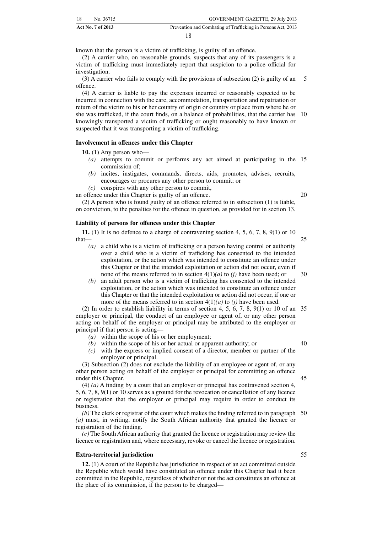| 18 | No. 36715         | GOVERNMENT GAZETTE, 29 July 2013                             |
|----|-------------------|--------------------------------------------------------------|
|    | Act No. 7 of 2013 | Prevention and Combating of Trafficking in Persons Act, 2013 |

known that the person is a victim of trafficking, is guilty of an offence.

(2) A carrier who, on reasonable grounds, suspects that any of its passengers is a victim of trafficking must immediately report that suspicion to a police official for investigation.

(3) A carrier who fails to comply with the provisions of subsection (2) is guilty of an offence. 5

(4) A carrier is liable to pay the expenses incurred or reasonably expected to be incurred in connection with the care, accommodation, transportation and repatriation or return of the victim to his or her country of origin or country or place from where he or she was trafficked, if the court finds, on a balance of probabilities, that the carrier has 10 knowingly transported a victim of trafficking or ought reasonably to have known or suspected that it was transporting a victim of trafficking.

#### **Involvement in offences under this Chapter**

**10.** (1) Any person who—

- *(a)* attempts to commit or performs any act aimed at participating in the 15 commission of;
- *(b)* incites, instigates, commands, directs, aids, promotes, advises, recruits, encourages or procures any other person to commit; or

*(c)* conspires with any other person to commit, an offence under this Chapter is guilty of an offence.

20

(2) A person who is found guilty of an offence referred to in subsection (1) is liable, on conviction, to the penalties for the offence in question, as provided for in section 13.

#### **Liability of persons for offences under this Chapter**

**11.** (1) It is no defence to a charge of contravening section 4, 5, 6, 7, 8, 9(1) or 10 that— 25

- *(a)* a child who is a victim of trafficking or a person having control or authority over a child who is a victim of trafficking has consented to the intended exploitation, or the action which was intended to constitute an offence under this Chapter or that the intended exploitation or action did not occur, even if none of the means referred to in section 4(1)*(a)* to *(j)* have been used; or
- *(b)* an adult person who is a victim of trafficking has consented to the intended exploitation, or the action which was intended to constitute an offence under this Chapter or that the intended exploitation or action did not occur, if one or more of the means referred to in section 4(1)*(a)* to *(j)* have been used.

(2) In order to establish liability in terms of section 4, 5, 6, 7, 8, 9(1) or 10 of an 35 employer or principal, the conduct of an employee or agent of, or any other person acting on behalf of the employer or principal may be attributed to the employer or principal if that person is acting—

- *(a)* within the scope of his or her employment;
- *(b)* within the scope of his or her actual or apparent authority; or
- 40

45

30

*(c)* with the express or implied consent of a director, member or partner of the employer or principal.

(3) Subsection (2) does not exclude the liability of an employee or agent of, or any other person acting on behalf of the employer or principal for committing an offence under this Chapter.

(4) *(a)* A finding by a court that an employer or principal has contravened section 4, 5, 6, 7, 8, 9(1) or 10 serves as a ground for the revocation or cancellation of any licence or registration that the employer or principal may require in order to conduct its business.

*(b)* The clerk or registrar of the court which makes the finding referred to in paragraph 50 *(a)* must, in writing, notify the South African authority that granted the licence or registration of the finding.

*(c)* The South African authority that granted the licence or registration may review the licence or registration and, where necessary, revoke or cancel the licence or registration.

#### **Extra-territorial jurisdiction**

**12.** (1) A court of the Republic has jurisdiction in respect of an act committed outside the Republic which would have constituted an offence under this Chapter had it been committed in the Republic, regardless of whether or not the act constitutes an offence at the place of its commission, if the person to be charged—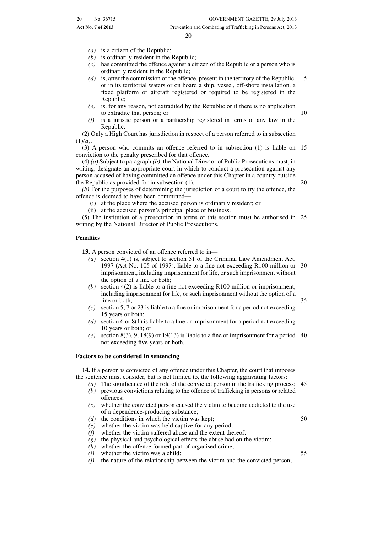- *(a)* is a citizen of the Republic;
- *(b)* is ordinarily resident in the Republic;
- *(c)* has committed the offence against a citizen of the Republic or a person who is ordinarily resident in the Republic;
- *(d)* is, after the commission of the offence, present in the territory of the Republic, or in its territorial waters or on board a ship, vessel, off-shore installation, a fixed platform or aircraft registered or required to be registered in the Republic; 5
- *(e)* is, for any reason, not extradited by the Republic or if there is no application to extradite that person; or
- *(f)* is a juristic person or a partnership registered in terms of any law in the Republic.

(2) Only a High Court has jurisdiction in respect of a person referred to in subsection (1)*(d)*.

(3) A person who commits an offence referred to in subsection (1) is liable on 15 conviction to the penalty prescribed for that offence.

(4) *(a)* Subject to paragraph *(b)*, the National Director of Public Prosecutions must, in writing, designate an appropriate court in which to conduct a prosecution against any person accused of having committed an offence under this Chapter in a country outside the Republic as provided for in subsection (1).

*(b)* For the purposes of determining the jurisdiction of a court to try the offence, the offence is deemed to have been committed—

- (i) at the place where the accused person is ordinarily resident; or
- (ii) at the accused person's principal place of business.

(5) The institution of a prosecution in terms of this section must be authorised in 25 writing by the National Director of Public Prosecutions.

#### **Penalties**

**13.** A person convicted of an offence referred to in—

- *(a)* section 4(1) is, subject to section 51 of the Criminal Law Amendment Act, 1997 (Act No. 105 of 1997), liable to a fine not exceeding R100 million or 30 imprisonment, including imprisonment for life, or such imprisonment without the option of a fine or both;
- *(b)* section 4(2) is liable to a fine not exceeding R100 million or imprisonment, including imprisonment for life, or such imprisonment without the option of a fine or both;
- *(c)* section 5, 7 or 23 is liable to a fine or imprisonment for a period not exceeding 15 years or both;
- *(d)* section 6 or 8(1) is liable to a fine or imprisonment for a period not exceeding 10 years or both; or
- (e) section  $8(3)$ ,  $9$ ,  $18(9)$  or  $19(13)$  is liable to a fine or imprisonment for a period 40 not exceeding five years or both.

#### **Factors to be considered in sentencing**

**14.** If a person is convicted of any offence under this Chapter, the court that imposes the sentence must consider, but is not limited to, the following aggravating factors:

- *(a)* The significance of the role of the convicted person in the trafficking process; 45 *(b)* previous convictions relating to the offence of trafficking in persons or related offences;
- *(c)* whether the convicted person caused the victim to become addicted to the use of a dependence-producing substance;
- *(d)* the conditions in which the victim was kept;
- *(e)* whether the victim was held captive for any period;
- *(f)* whether the victim suffered abuse and the extent thereof;
- $(g)$  the physical and psychological effects the abuse had on the victim;
- *(h)* whether the offence formed part of organised crime;
- *(i)* whether the victim was a child;
- *(j)* the nature of the relationship between the victim and the convicted person;

35

50

55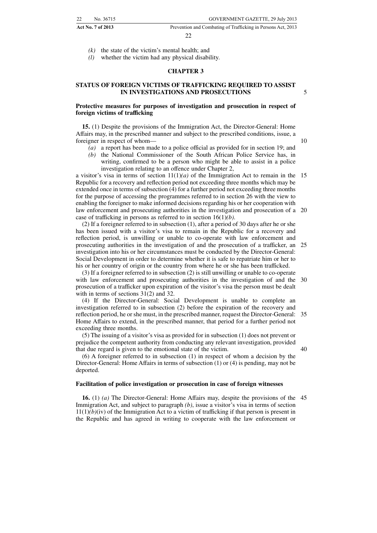*(k)* the state of the victim's mental health; and

*(l)* whether the victim had any physical disability.

#### **CHAPTER 3**

#### **STATUS OF FOREIGN VICTIMS OF TRAFFICKING REQUIRED TO ASSIST IN INVESTIGATIONS AND PROSECUTIONS**

#### **Protective measures for purposes of investigation and prosecution in respect of foreign victims of trafficking**

**15.** (1) Despite the provisions of the Immigration Act, the Director-General: Home Affairs may, in the prescribed manner and subject to the prescribed conditions, issue, a foreigner in respect of whom—

- *(a)* a report has been made to a police official as provided for in section 19; and
- *(b)* the National Commissioner of the South African Police Service has, in writing, confirmed to be a person who might be able to assist in a police investigation relating to an offence under Chapter 2,

a visitor's visa in terms of section  $11(1)(a)$  of the Immigration Act to remain in the 15 Republic for a recovery and reflection period not exceeding three months which may be extended once in terms of subsection (4) for a further period not exceeding three months for the purpose of accessing the programmes referred to in section 26 with the view to enabling the foreigner to make informed decisions regarding his or her cooperation with law enforcement and prosecuting authorities in the investigation and prosecution of a 20 case of trafficking in persons as referred to in section 16(1)*(b)*.

(2) If a foreigner referred to in subsection (1), after a period of 30 days after he or she has been issued with a visitor's visa to remain in the Republic for a recovery and reflection period, is unwilling or unable to co-operate with law enforcement and prosecuting authorities in the investigation of and the prosecution of a trafficker, an 25 investigation into his or her circumstances must be conducted by the Director-General: Social Development in order to determine whether it is safe to repatriate him or her to his or her country of origin or the country from where he or she has been trafficked.

(3) If a foreigner referred to in subsection (2) is still unwilling or unable to co-operate with law enforcement and prosecuting authorities in the investigation of and the 30 prosecution of a trafficker upon expiration of the visitor's visa the person must be dealt with in terms of sections  $31(2)$  and 32.

(4) If the Director-General: Social Development is unable to complete an investigation referred to in subsection (2) before the expiration of the recovery and reflection period, he or she must, in the prescribed manner, request the Director-General: 35 Home Affairs to extend, in the prescribed manner, that period for a further period not exceeding three months.

(5) The issuing of a visitor's visa as provided for in subsection (1) does not prevent or prejudice the competent authority from conducting any relevant investigation, provided that due regard is given to the emotional state of the victim.

(6) A foreigner referred to in subsection (1) in respect of whom a decision by the Director-General: Home Affairs in terms of subsection (1) or (4) is pending, may not be deported.

#### **Facilitation of police investigation or prosecution in case of foreign witnesses**

**16.** (1) *(a)* The Director-General: Home Affairs may, despite the provisions of the 45Immigration Act, and subject to paragraph *(b)*, issue a visitor's visa in terms of section  $11(1)(b)(iv)$  of the Immigration Act to a victim of trafficking if that person is present in the Republic and has agreed in writing to cooperate with the law enforcement or

5

10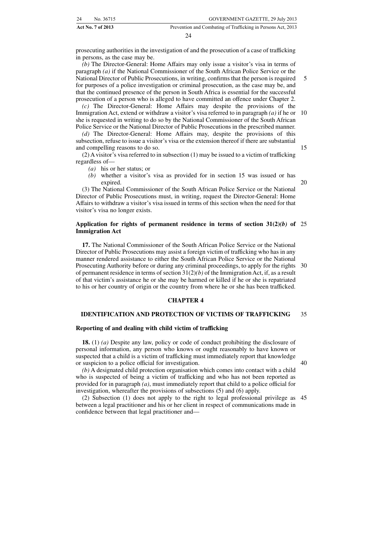| 24 | No. 36715         | GOVERNMENT GAZETTE, 29 July 2013                             |
|----|-------------------|--------------------------------------------------------------|
|    | Act No. 7 of 2013 | Prevention and Combating of Trafficking in Persons Act, 2013 |

prosecuting authorities in the investigation of and the prosecution of a case of trafficking in persons, as the case may be.

*(b)* The Director-General: Home Affairs may only issue a visitor's visa in terms of paragraph *(a)* if the National Commissioner of the South African Police Service or the National Director of Public Prosecutions, in writing, confirms that the person is required for purposes of a police investigation or criminal prosecution, as the case may be, and that the continued presence of the person in South Africa is essential for the successful prosecution of a person who is alleged to have committed an offence under Chapter 2. 5

*(c)* The Director-General: Home Affairs may despite the provisions of the Immigration Act, extend or withdraw a visitor's visa referred to in paragraph *(a)* if he or she is requested in writing to do so by the National Commissioner of the South African Police Service or the National Director of Public Prosecutions in the prescribed manner. 10

*(d)* The Director-General: Home Affairs may, despite the provisions of this subsection, refuse to issue a visitor's visa or the extension thereof if there are substantial and compelling reasons to do so.

(2) A visitor's visa referred to in subsection (1) may be issued to a victim of trafficking regardless of—

- *(a)* his or her status; or
- *(b)* whether a visitor's visa as provided for in section 15 was issued or has expired.

(3) The National Commissioner of the South African Police Service or the National Director of Public Prosecutions must, in writing, request the Director-General: Home Affairs to withdraw a visitor's visa issued in terms of this section when the need for that visitor's visa no longer exists.

#### **Application for rights of permanent residence in terms of section 31(2)***(b)* **of** 25 **Immigration Act**

**17.** The National Commissioner of the South African Police Service or the National Director of Public Prosecutions may assist a foreign victim of trafficking who has in any manner rendered assistance to either the South African Police Service or the National Prosecuting Authority before or during any criminal proceedings, to apply for the rights 30 of permanent residence in terms of section 31(2)*(b)* of the Immigration Act, if, as a result of that victim's assistance he or she may be harmed or killed if he or she is repatriated to his or her country of origin or the country from where he or she has been trafficked.

#### **CHAPTER 4**

#### **IDENTIFICATION AND PROTECTION OF VICTIMS OF TRAFFICKING** 35

#### **Reporting of and dealing with child victim of trafficking**

**18.** (1) *(a)* Despite any law, policy or code of conduct prohibiting the disclosure of personal information, any person who knows or ought reasonably to have known or suspected that a child is a victim of trafficking must immediately report that knowledge or suspicion to a police official for investigation.

40

*(b)* A designated child protection organisation which comes into contact with a child who is suspected of being a victim of trafficking and who has not been reported as provided for in paragraph *(a)*, must immediately report that child to a police official for investigation, whereafter the provisions of subsections (5) and (6) apply.

(2) Subsection (1) does not apply to the right to legal professional privilege as 45between a legal practitioner and his or her client in respect of communications made in confidence between that legal practitioner and—

15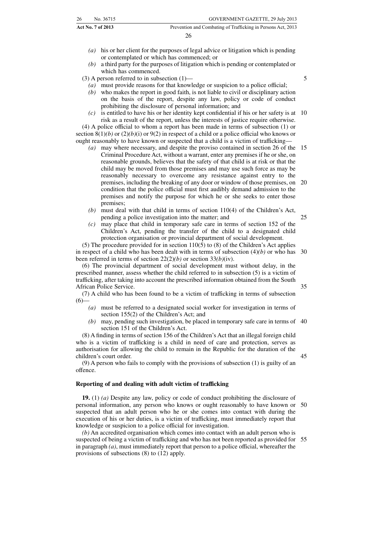26

- *(a)* his or her client for the purposes of legal advice or litigation which is pending or contemplated or which has commenced; or
- *(b)* a third party for the purposes of litigation which is pending or contemplated or which has commenced.

(3) A person referred to in subsection (1)—

*(a)* must provide reasons for that knowledge or suspicion to a police official;

- *(b)* who makes the report in good faith, is not liable to civil or disciplinary action on the basis of the report, despite any law, policy or code of conduct prohibiting the disclosure of personal information; and
- *(c)* is entitled to have his or her identity kept confidential if his or her safety is at 10 risk as a result of the report, unless the interests of justice require otherwise. (4) A police official to whom a report has been made in terms of subsection (1) or section 8(1)*(b)* or (2)*(b)*(i) or 9(2) in respect of a child or a police official who knows or

ought reasonably to have known or suspected that a child is a victim of trafficking—

- *(a)* may where necessary, and despite the proviso contained in section 26 of the 15 Criminal Procedure Act, without a warrant, enter any premises if he or she, on reasonable grounds, believes that the safety of that child is at risk or that the child may be moved from those premises and may use such force as may be reasonably necessary to overcome any resistance against entry to the premises, including the breaking of any door or window of those premises, on 20 condition that the police official must first audibly demand admission to the premises and notify the purpose for which he or she seeks to enter those premises;
- *(b)* must deal with that child in terms of section 110(4) of the Children's Act, pending a police investigation into the matter; and 25
- *(c)* may place that child in temporary safe care in terms of section 152 of the Children's Act, pending the transfer of the child to a designated child protection organisation or provincial department of social development.

(5) The procedure provided for in section  $110(5)$  to (8) of the Children's Act applies in respect of a child who has been dealt with in terms of subsection  $(4)(b)$  or who has 30 been referred in terms of section 22(2)*(b)* or section 33*(b)*(iv).

(6) The provincial department of social development must without delay, in the prescribed manner, assess whether the child referred to in subsection (5) is a victim of trafficking, after taking into account the prescribed information obtained from the South African Police Service.

(7) A child who has been found to be a victim of trafficking in terms of subsection  $(6)$ 

- *(a)* must be referred to a designated social worker for investigation in terms of section 155(2) of the Children's Act; and
	- *(b)* may, pending such investigation, be placed in temporary safe care in terms of 40 section 151 of the Children's Act.

(8) A finding in terms of section 156 of the Children's Act that an illegal foreign child who is a victim of trafficking is a child in need of care and protection, serves as authorisation for allowing the child to remain in the Republic for the duration of the children's court order.

(9) A person who fails to comply with the provisions of subsection (1) is guilty of an offence.

#### **Reporting of and dealing with adult victim of trafficking**

**19.** (1) *(a)* Despite any law, policy or code of conduct prohibiting the disclosure of personal information, any person who knows or ought reasonably to have known or suspected that an adult person who he or she comes into contact with during the execution of his or her duties, is a victim of trafficking, must immediately report that knowledge or suspicion to a police official for investigation. 50

*(b)* An accredited organisation which comes into contact with an adult person who is suspected of being a victim of trafficking and who has not been reported as provided for 55in paragraph *(a)*, must immediately report that person to a police official, whereafter the provisions of subsections (8) to (12) apply.

5

35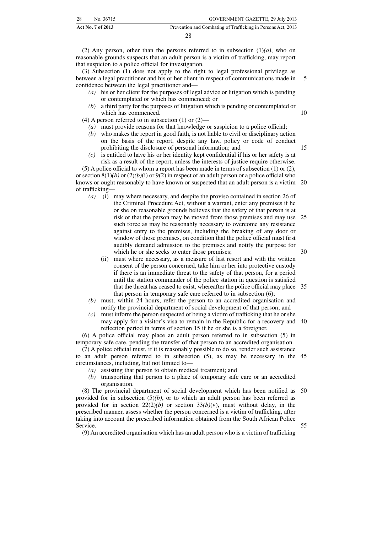| 28. | No. 36715                | GOVERNMENT GAZETTE, 29 July 2013                             |
|-----|--------------------------|--------------------------------------------------------------|
|     | <b>Act No. 7 of 2013</b> | Prevention and Combating of Trafficking in Persons Act, 2013 |

(2) Any person, other than the persons referred to in subsection  $(1)(a)$ , who on reasonable grounds suspects that an adult person is a victim of trafficking, may report that suspicion to a police official for investigation.

(3) Subsection (1) does not apply to the right to legal professional privilege as between a legal practitioner and his or her client in respect of communications made in confidence between the legal practitioner and— 5

- *(a)* his or her client for the purposes of legal advice or litigation which is pending or contemplated or which has commenced; or
- *(b*) a third party for the purposes of litigation which is pending or contemplated or which has commenced.

(4) A person referred to in subsection (1) or (2)—

- *(a)* must provide reasons for that knowledge or suspicion to a police official;
- *(b)* who makes the report in good faith, is not liable to civil or disciplinary action on the basis of the report, despite any law, policy or code of conduct prohibiting the disclosure of personal information; and
- *(c)* is entitled to have his or her identity kept confidential if his or her safety is at risk as a result of the report, unless the interests of justice require otherwise.

(5) A police official to whom a report has been made in terms of subsection (1) or (2), or section  $8(1)(b)$  or  $(2)(b)(i)$  or  $9(2)$  in respect of an adult person or a police official who knows or ought reasonably to have known or suspected that an adult person is a victim 20 of trafficking—

- *(a)* (i) may where necessary, and despite the proviso contained in section 26 of the Criminal Procedure Act, without a warrant, enter any premises if he or she on reasonable grounds believes that the safety of that person is at risk or that the person may be moved from those premises and may use 25 such force as may be reasonably necessary to overcome any resistance against entry to the premises, including the breaking of any door or window of those premises, on condition that the police official must first audibly demand admission to the premises and notify the purpose for which he or she seeks to enter those premises; 30
	- (ii) must where necessary, as a measure of last resort and with the written consent of the person concerned, take him or her into protective custody if there is an immediate threat to the safety of that person, for a period until the station commander of the police station in question is satisfied that the threat has ceased to exist, whereafter the police official may place 35 that person in temporary safe care referred to in subsection (6);
- *(b)* must, within 24 hours, refer the person to an accredited organisation and notify the provincial department of social development of that person; and
- *(c)* must inform the person suspected of being a victim of trafficking that he or she may apply for a visitor's visa to remain in the Republic for a recovery and 40 reflection period in terms of section 15 if he or she is a foreigner.

(6) A police official may place an adult person referred to in subsection (5) in temporary safe care, pending the transfer of that person to an accredited organisation.

(7) A police official must, if it is reasonably possible to do so, render such assistance to an adult person referred to in subsection (5), as may be necessary in the 45 circumstances, including, but not limited to—

- *(a)* assisting that person to obtain medical treatment; and
- *(b)* transporting that person to a place of temporary safe care or an accredited organisation.

(8) The provincial department of social development which has been notified as 50 provided for in subsection  $(5)(b)$ , or to which an adult person has been referred as provided for in section 22(2)*(b)* or section 33*(b)*(v), must without delay, in the prescribed manner, assess whether the person concerned is a victim of trafficking, after taking into account the prescribed information obtained from the South African Police Service. 55

(9) An accredited organisation which has an adult person who is a victim of trafficking

10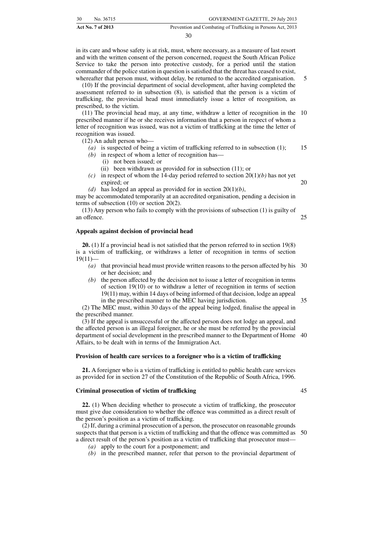|    | <b>Act No. 7 of 2013</b> | Prevention and Combating of Trafficking in Persons Act, 2013 |
|----|--------------------------|--------------------------------------------------------------|
| 30 | No. 36715                | GOVERNMENT GAZETTE, 29 July 2013                             |

in its care and whose safety is at risk, must, where necessary, as a measure of last resort and with the written consent of the person concerned, request the South African Police Service to take the person into protective custody, for a period until the station commander of the police station in question is satisfied that the threat has ceased to exist, whereafter that person must, without delay, be returned to the accredited organisation.

(10) If the provincial department of social development, after having completed the assessment referred to in subsection (8), is satisfied that the person is a victim of trafficking, the provincial head must immediately issue a letter of recognition, as prescribed, to the victim.

(11) The provincial head may, at any time, withdraw a letter of recognition in the 10 prescribed manner if he or she receives information that a person in respect of whom a letter of recognition was issued, was not a victim of trafficking at the time the letter of recognition was issued.

(12) An adult person who—

- *(a)* is suspected of being a victim of trafficking referred to in subsection (1); *(b)* in respect of whom a letter of recognition has— 15
	- (i) not been issued; or
	- (ii) been withdrawn as provided for in subsection (11); or
- *(c)* in respect of whom the 14-day period referred to section 20(1)*(b)* has not yet expired; or 20
- *(d)* has lodged an appeal as provided for in section 20(1)*(b)*,

may be accommodated temporarily at an accredited organisation, pending a decision in terms of subsection (10) or section 20(2).

(13) Any person who fails to comply with the provisions of subsection (1) is guilty of an offence. 25

#### **Appeals against decision of provincial head**

**20.** (1) If a provincial head is not satisfied that the person referred to in section 19(8) is a victim of trafficking, or withdraws a letter of recognition in terms of section  $19(11)$ —

- *(a)* that provincial head must provide written reasons to the person affected by his 30 or her decision; and
- *(b)* the person affected by the decision not to issue a letter of recognition in terms of section 19(10) or to withdraw a letter of recognition in terms of section 19(11) may, within 14 days of being informed of that decision, lodge an appeal in the prescribed manner to the MEC having jurisdiction.

(2) The MEC must, within 30 days of the appeal being lodged, finalise the appeal in the prescribed manner.

(3) If the appeal is unsuccessful or the affected person does not lodge an appeal, and the affected person is an illegal foreigner, he or she must be referred by the provincial department of social development in the prescribed manner to the Department of Home 40 Affairs, to be dealt with in terms of the Immigration Act.

#### **Provision of health care services to a foreigner who is a victim of trafficking**

**21.** A foreigner who is a victim of trafficking is entitled to public health care services as provided for in section 27 of the Constitution of the Republic of South Africa, 1996.

#### **Criminal prosecution of victim of trafficking**

**22.** (1) When deciding whether to prosecute a victim of trafficking, the prosecutor must give due consideration to whether the offence was committed as a direct result of the person's position as a victim of trafficking.

(2) If, during a criminal prosecution of a person, the prosecutor on reasonable grounds suspects that that person is a victim of trafficking and that the offence was committed as 50a direct result of the person's position as a victim of trafficking that prosecutor must—

- *(a)* apply to the court for a postponement; and
- *(b)* in the prescribed manner, refer that person to the provincial department of

35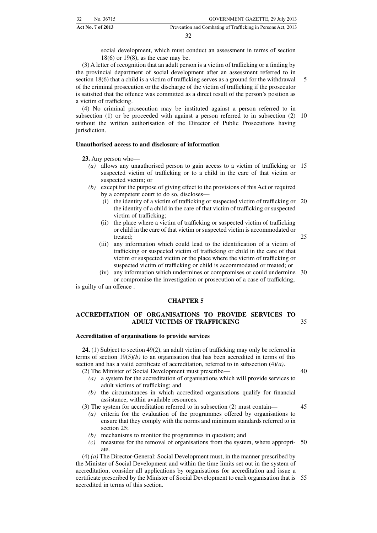social development, which must conduct an assessment in terms of section 18(6) or 19(8), as the case may be.

(3) A letter of recognition that an adult person is a victim of trafficking or a finding by the provincial department of social development after an assessment referred to in section 18(6) that a child is a victim of trafficking serves as a ground for the withdrawal of the criminal prosecution or the discharge of the victim of trafficking if the prosecutor is satisfied that the offence was committed as a direct result of the person's position as a victim of trafficking. 5

(4) No criminal prosecution may be instituted against a person referred to in subsection (1) or be proceeded with against a person referred to in subsection (2) 10 without the written authorisation of the Director of Public Prosecutions having jurisdiction.

#### **Unauthorised access to and disclosure of information**

**23.** Any person who—

- *(a)* allows any unauthorised person to gain access to a victim of trafficking or 15 suspected victim of trafficking or to a child in the care of that victim or suspected victim; or
- *(b)* except for the purpose of giving effect to the provisions of this Act or required by a competent court to do so, discloses—
	- (i) the identity of a victim of trafficking or suspected victim of trafficking or 20 the identity of a child in the care of that victim of trafficking or suspected victim of trafficking;
	- (ii) the place where a victim of trafficking or suspected victim of trafficking or child in the care of that victim or suspected victim is accommodated or treated;
	- (iii) any information which could lead to the identification of a victim of trafficking or suspected victim of trafficking or child in the care of that victim or suspected victim or the place where the victim of trafficking or suspected victim of trafficking or child is accommodated or treated; or
- (iv) any information which undermines or compromises or could undermine 30 or compromise the investigation or prosecution of a case of trafficking,

is guilty of an offence .

#### **CHAPTER 5**

#### **ACCREDITATION OF ORGANISATIONS TO PROVIDE SERVICES TO ADULT VICTIMS OF TRAFFICKING** 35

#### **Accreditation of organisations to provide services**

**24.** (1) Subject to section 49(2), an adult victim of trafficking may only be referred in terms of section  $19(5)/b$  to an organisation that has been accredited in terms of this section and has a valid certificate of accreditation, referred to in subsection (4)*(a)*. (2) The Minister of Social Development must prescribe—

- *(a)* a system for the accreditation of organisations which will provide services to adult victims of trafficking; and
- *(b)* the circumstances in which accredited organisations qualify for financial assistance, within available resources.

(3) The system for accreditation referred to in subsection (2) must contain—

- *(a)* criteria for the evaluation of the programmes offered by organisations to ensure that they comply with the norms and minimum standards referred to in section 25;
- *(b)* mechanisms to monitor the programmes in question; and
- *(c)* measures for the removal of organisations from the system, where appropri-50 ate.

(4) *(a)* The Director-General: Social Development must, in the manner prescribed by the Minister of Social Development and within the time limits set out in the system of accreditation, consider all applications by organisations for accreditation and issue a certificate prescribed by the Minister of Social Development to each organisation that is 55accredited in terms of this section.

40

45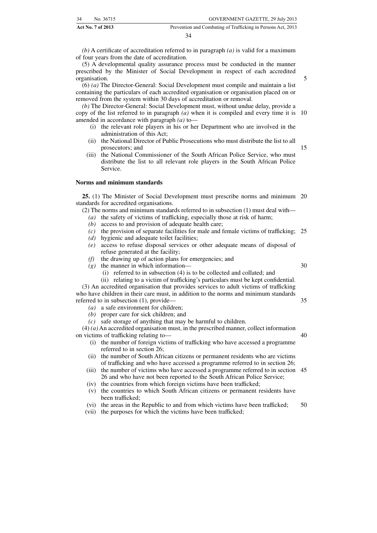| 34 | No. 36715                | GOVERNMENT GAZETTE, 29 July 2013                             |
|----|--------------------------|--------------------------------------------------------------|
|    | <b>Act No. 7 of 2013</b> | Prevention and Combating of Trafficking in Persons Act, 2013 |

*(b)* A certificate of accreditation referred to in paragraph *(a)* is valid for a maximum of four years from the date of accreditation.

(5) A developmental quality assurance process must be conducted in the manner prescribed by the Minister of Social Development in respect of each accredited organisation.

(6) *(a)* The Director-General: Social Development must compile and maintain a list containing the particulars of each accredited organisation or organisation placed on or removed from the system within 30 days of accreditation or removal.

*(b)* The Director-General: Social Development must, without undue delay, provide a copy of the list referred to in paragraph *(a)* when it is compiled and every time it is amended in accordance with paragraph *(a)* to— 10

- (i) the relevant role players in his or her Department who are involved in the administration of this Act;
- (ii) the National Director of Public Prosecutions who must distribute the list to all prosecutors; and
- (iii) the National Commissioner of the South African Police Service, who must distribute the list to all relevant role players in the South African Police Service.

#### **Norms and minimum standards**

**25.** (1) The Minister of Social Development must prescribe norms and minimum 20 standards for accredited organisations.

(2) The norms and minimum standards referred to in subsection (1) must deal with—

- *(a)* the safety of victims of trafficking, especially those at risk of harm;
- access to and provision of adequate health care;
- *(c)* the provision of separate facilities for male and female victims of trafficking; 25
- *(d)* hygienic and adequate toilet facilities;
- *(e)* access to refuse disposal services or other adequate means of disposal of refuse generated at the facility;
- *(f)* the drawing up of action plans for emergencies; and
- *(g)* the manner in which information—
	- (i) referred to in subsection (4) is to be collected and collated; and

(ii) relating to a victim of trafficking's particulars must be kept confidential. (3) An accredited organisation that provides services to adult victims of trafficking who have children in their care must, in addition to the norms and minimum standards

- referred to in subsection (1), provide—
	- *(a)* a safe environment for children;
	- *(b)* proper care for sick children; and
	- *(c)* safe storage of anything that may be harmful to children.

(4) *(a)* An accredited organisation must, in the prescribed manner, collect information on victims of trafficking relating to—

- (i) the number of foreign victims of trafficking who have accessed a programme referred to in section 26;
- (ii) the number of South African citizens or permanent residents who are victims of trafficking and who have accessed a programme referred to in section 26;
- (iii) the number of victims who have accessed a programme referred to in section 45 26 and who have not been reported to the South African Police Service;
- (iv) the countries from which foreign victims have been trafficked;
- (v) the countries to which South African citizens or permanent residents have been trafficked;
- (vi) the areas in the Republic to and from which victims have been trafficked; 50
- (vii) the purposes for which the victims have been trafficked;

30

35

40

5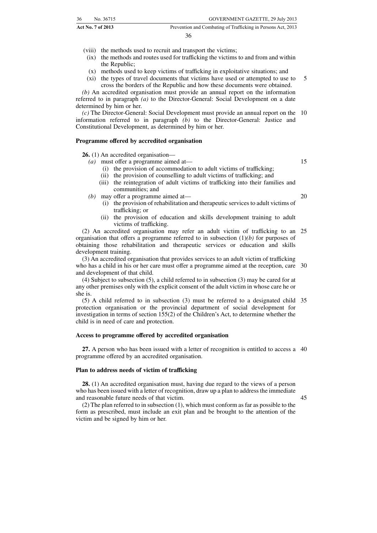| 36 | No. 36715                | GOVERNMENT GAZETTE, 29 July 2013                             |
|----|--------------------------|--------------------------------------------------------------|
|    | <b>Act No. 7 of 2013</b> | Prevention and Combating of Trafficking in Persons Act, 2013 |

(viii) the methods used to recruit and transport the victims;

- (ix) the methods and routes used for trafficking the victims to and from and within the Republic;
- (x) methods used to keep victims of trafficking in exploitative situations; and
- (xi) the types of travel documents that victims have used or attempted to use to cross the borders of the Republic and how these documents were obtained. 5

*(b)* An accredited organisation must provide an annual report on the information referred to in paragraph *(a)* to the Director-General: Social Development on a date determined by him or her.

*(c)* The Director-General: Social Development must provide an annual report on the 10 information referred to in paragraph *(b)* to the Director-General: Justice and Constitutional Development, as determined by him or her.

#### **Programme offered by accredited organisation**

**26.** (1) An accredited organisation—

- *(a)* must offer a programme aimed at—
	- (i) the provision of accommodation to adult victims of trafficking;
	- (ii) the provision of counselling to adult victims of trafficking; and
	- (iii) the reintegration of adult victims of trafficking into their families and communities; and
- *(b)* may offer a programme aimed at—
	- (i) the provision of rehabilitation and therapeutic services to adult victims of trafficking; or
	- (ii) the provision of education and skills development training to adult victims of trafficking.

(2) An accredited organisation may refer an adult victim of trafficking to an 25 organisation that offers a programme referred to in subsection (1)*(b)* for purposes of obtaining those rehabilitation and therapeutic services or education and skills development training.

(3) An accredited organisation that provides services to an adult victim of trafficking who has a child in his or her care must offer a programme aimed at the reception, care 30 and development of that child.

(4) Subject to subsection (5), a child referred to in subsection (3) may be cared for at any other premises only with the explicit consent of the adult victim in whose care he or she is.

(5) A child referred to in subsection (3) must be referred to a designated child 35 protection organisation or the provincial department of social development for investigation in terms of section 155(2) of the Children's Act, to determine whether the child is in need of care and protection.

#### **Access to programme offered by accredited organisation**

**27.** A person who has been issued with a letter of recognition is entitled to access a 40 programme offered by an accredited organisation.

#### **Plan to address needs of victim of trafficking**

**28.** (1) An accredited organisation must, having due regard to the views of a person who has been issued with a letter of recognition, draw up a plan to address the immediate and reasonable future needs of that victim.

45

(2) The plan referred to in subsection (1), which must conform as far as possible to the form as prescribed, must include an exit plan and be brought to the attention of the victim and be signed by him or her.

15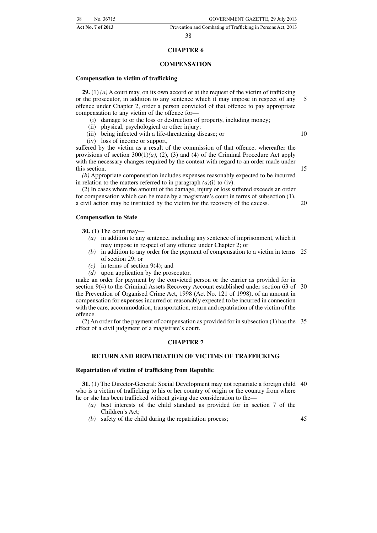#### 38

#### **CHAPTER 6**

#### **COMPENSATION**

#### **Compensation to victim of trafficking**

**29.** (1) *(a)* A court may, on its own accord or at the request of the victim of trafficking or the prosecutor, in addition to any sentence which it may impose in respect of any offence under Chapter 2, order a person convicted of that offence to pay appropriate compensation to any victim of the offence for— 5

- (i) damage to or the loss or destruction of property, including money;
- (ii) physical, psychological or other injury;
- (iii) being infected with a life-threatening disease; or
- (iv) loss of income or support,

suffered by the victim as a result of the commission of that offence, whereafter the provisions of section 300(1)*(a)*, (2), (3) and (4) of the Criminal Procedure Act apply with the necessary changes required by the context with regard to an order made under this section.

*(b)* Appropriate compensation includes expenses reasonably expected to be incurred in relation to the matters referred to in paragraph  $(a)(i)$  to (iv).

(2) In cases where the amount of the damage, injury or loss suffered exceeds an order for compensation which can be made by a magistrate's court in terms of subsection (1), a civil action may be instituted by the victim for the recovery of the excess.

#### **Compensation to State**

**30.** (1) The court may—

- *(a)* in addition to any sentence, including any sentence of imprisonment, which it may impose in respect of any offence under Chapter 2; or
- *(b)* in addition to any order for the payment of compensation to a victim in terms 25 of section 29; or
- *(c)* in terms of section 9(4); and
- *(d)* upon application by the prosecutor,

make an order for payment by the convicted person or the carrier as provided for in section 9(4) to the Criminal Assets Recovery Account established under section 63 of 30 the Prevention of Organised Crime Act, 1998 (Act No. 121 of 1998), of an amount in compensation for expenses incurred or reasonably expected to be incurred in connection with the care, accommodation, transportation, return and repatriation of the victim of the offence.

(2) An order for the payment of compensation as provided for in subsection (1) has the 35 effect of a civil judgment of a magistrate's court.

#### **CHAPTER 7**

#### **RETURN AND REPATRIATION OF VICTIMS OF TRAFFICKING**

#### **Repatriation of victim of trafficking from Republic**

**31.** (1) The Director-General: Social Development may not repatriate a foreign child 40 who is a victim of trafficking to his or her country of origin or the country from where he or she has been trafficked without giving due consideration to the—

- *(a)* best interests of the child standard as provided for in section 7 of the Children's Act;
- *(b)* safety of the child during the repatriation process;

45

15

20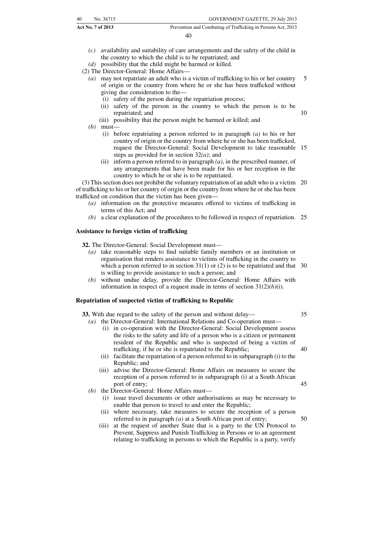|    | Act No. 7 of 2013 | Prevention and Combating of Trafficking in Persons Act, 2013 |
|----|-------------------|--------------------------------------------------------------|
| 40 | No. 36715         | GOVERNMENT GAZETTE, 29 July 2013                             |

- *(c)* availability and suitability of care arrangements and the safety of the child in the country to which the child is to be repatriated; and
- *(d)* possibility that the child might be harmed or killed.

(2) The Director-General: Home Affairs—

- *(a)* may not repatriate an adult who is a victim of trafficking to his or her country of origin or the country from where he or she has been trafficked without giving due consideration to the— 5
	- (i) safety of the person during the repatriation process;
	- (ii) safety of the person in the country to which the person is to be repatriated; and
	- (iii) possibility that the person might be harmed or killed; and
- *(b)* must—
	- (i) before repatriating a person referred to in paragraph *(a)* to his or her country of origin or the country from where he or she has been trafficked, request the Director-General: Social Development to take reasonable 15 steps as provided for in section 32*(a)*; and
	- (ii) inform a person referred to in paragraph *(a)*, in the prescribed manner, of any arrangements that have been made for his or her reception in the country to which he or she is to be repatriated.

(3) This section does not prohibit the voluntary repatriation of an adult who is a victim 20 of trafficking to his or her country of origin or the country from where he or she has been trafficked on condition that the victim has been given—

- *(a)* information on the protective measures offered to victims of trafficking in terms of this Act; and
- *(b)* a clear explanation of the procedures to be followed in respect of repatriation. 25

#### **Assistance to foreign victim of trafficking**

**32.** The Director-General: Social Development must—

- *(a)* take reasonable steps to find suitable family members or an institution or organisation that renders assistance to victims of trafficking in the country to which a person referred to in section  $31(1)$  or (2) is to be repatriated and that  $30$ is willing to provide assistance to such a person; and
- *(b)* without undue delay, provide the Director-General: Home Affairs with information in respect of a request made in terms of section 31(2)*(b)*(i).

#### **Repatriation of suspected victim of trafficking to Republic**

**33.** With due regard to the safety of the person and without delay—

- *(a)* the Director-General: International Relations and Co-operation must—
	- (i) in co-operation with the Director-General: Social Development assess the risks to the safety and life of a person who is a citizen or permanent resident of the Republic and who is suspected of being a victim of trafficking, if he or she is repatriated to the Republic;
	- (ii) facilitate the repatriation of a person referred to in subparagraph (i) to the Republic; and
	- (iii) advise the Director-General: Home Affairs on measures to secure the reception of a person referred to in subparagraph (i) at a South African port of entry;
- *(b)* the Director-General: Home Affairs must—
	- (i) issue travel documents or other authorisations as may be necessary to enable that person to travel to and enter the Republic;
	- (ii) where necessary, take measures to secure the reception of a person referred to in paragraph *(a)* at a South African port of entry; 50
	- (iii) at the request of another State that is a party to the UN Protocol to Prevent, Suppress and Punish Trafficking in Persons or to an agreement relating to trafficking in persons to which the Republic is a party, verify

40

45

35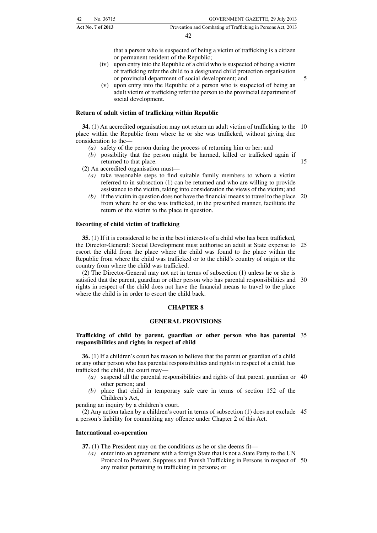that a person who is suspected of being a victim of trafficking is a citizen or permanent resident of the Republic;

(iv) upon entry into the Republic of a child who is suspected of being a victim of trafficking refer the child to a designated child protection organisation or provincial department of social development; and

5

(v) upon entry into the Republic of a person who is suspected of being an adult victim of trafficking refer the person to the provincial department of social development.

#### **Return of adult victim of trafficking within Republic**

**34.** (1) An accredited organisation may not return an adult victim of trafficking to the 10 place within the Republic from where he or she was trafficked, without giving due consideration to the—

- *(a)* safety of the person during the process of returning him or her; and
- *(b)* possibility that the person might be harmed, killed or trafficked again if returned to that place. 15

(2) An accredited organisation must—

- *(a)* take reasonable steps to find suitable family members to whom a victim referred to in subsection (1) can be returned and who are willing to provide assistance to the victim, taking into consideration the views of the victim; and
- *(b)* if the victim in question does not have the financial means to travel to the place 20 from where he or she was trafficked, in the prescribed manner, facilitate the return of the victim to the place in question.

#### **Escorting of child victim of trafficking**

**35.** (1) If it is considered to be in the best interests of a child who has been trafficked, the Director-General: Social Development must authorise an adult at State expense to 25 escort the child from the place where the child was found to the place within the Republic from where the child was trafficked or to the child's country of origin or the country from where the child was trafficked.

(2) The Director-General may not act in terms of subsection (1) unless he or she is satisfied that the parent, guardian or other person who has parental responsibilities and 30 rights in respect of the child does not have the financial means to travel to the place where the child is in order to escort the child back.

#### **CHAPTER 8**

#### **GENERAL PROVISIONS**

#### **Trafficking of child by parent, guardian or other person who has parental** 35 **responsibilities and rights in respect of child**

**36.** (1) If a children's court has reason to believe that the parent or guardian of a child or any other person who has parental responsibilities and rights in respect of a child, has trafficked the child, the court may—

- *(a)* suspend all the parental responsibilities and rights of that parent, guardian or 40 other person; and
- *(b)* place that child in temporary safe care in terms of section 152 of the Children's Act,

pending an inquiry by a children's court.

(2) Any action taken by a children's court in terms of subsection (1) does not exclude 45 a person's liability for committing any offence under Chapter 2 of this Act.

#### **International co-operation**

**37.** (1) The President may on the conditions as he or she deems fit—

*(a)* enter into an agreement with a foreign State that is not a State Party to the UN Protocol to Prevent, Suppress and Punish Trafficking in Persons in respect of 50any matter pertaining to trafficking in persons; or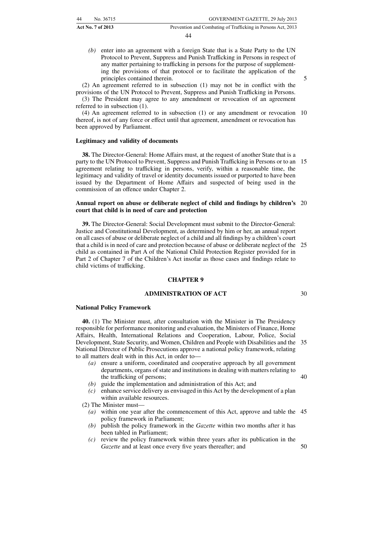| 44 | No. 36715         | GOVERNMENT GAZETTE, 29 July 2013                             |
|----|-------------------|--------------------------------------------------------------|
|    | Act No. 7 of 2013 | Prevention and Combating of Trafficking in Persons Act, 2013 |

*(b)* enter into an agreement with a foreign State that is a State Party to the UN Protocol to Prevent, Suppress and Punish Trafficking in Persons in respect of any matter pertaining to trafficking in persons for the purpose of supplementing the provisions of that protocol or to facilitate the application of the principles contained therein.

5

(2) An agreement referred to in subsection (1) may not be in conflict with the provisions of the UN Protocol to Prevent, Suppress and Punish Trafficking in Persons. (3) The President may agree to any amendment or revocation of an agreement referred to in subsection (1).

(4) An agreement referred to in subsection (1) or any amendment or revocation 10 thereof, is not of any force or effect until that agreement, amendment or revocation has been approved by Parliament.

#### **Legitimacy and validity of documents**

**38.** The Director-General: Home Affairs must, at the request of another State that is a party to the UN Protocol to Prevent, Suppress and Punish Trafficking in Persons or to an 15 agreement relating to trafficking in persons, verify, within a reasonable time, the legitimacy and validity of travel or identity documents issued or purported to have been issued by the Department of Home Affairs and suspected of being used in the commission of an offence under Chapter 2.

#### **Annual report on abuse or deliberate neglect of child and findings by children's** 20 **court that child is in need of care and protection**

**39.** The Director-General: Social Development must submit to the Director-General: Justice and Constitutional Development, as determined by him or her, an annual report on all cases of abuse or deliberate neglect of a child and all findings by a children's court that a child is in need of care and protection because of abuse or deliberate neglect of the 25 child as contained in Part A of the National Child Protection Register provided for in Part 2 of Chapter 7 of the Children's Act insofar as those cases and findings relate to child victims of trafficking.

#### **CHAPTER 9**

#### **ADMINISTRATION OF ACT**

**National Policy Framework**

**40.** (1) The Minister must, after consultation with the Minister in The Presidency responsible for performance monitoring and evaluation, the Ministers of Finance, Home Affairs, Health, International Relations and Cooperation, Labour, Police, Social Development, State Security, and Women, Children and People with Disabilities and the 35 National Director of Public Prosecutions approve a national policy framework, relating to all matters dealt with in this Act, in order to—

- *(a)* ensure a uniform, coordinated and cooperative approach by all government departments, organs of state and institutions in dealing with matters relating to the trafficking of persons; 40
- *(b)* guide the implementation and administration of this Act; and
- *(c)* enhance service delivery as envisaged in this Act by the development of a plan within available resources.

(2) The Minister must—

- *(a)* within one year after the commencement of this Act, approve and table the 45 policy framework in Parliament;
- *(b)* publish the policy framework in the *Gazette* within two months after it has been tabled in Parliament;
- *(c)* review the policy framework within three years after its publication in the *Gazette* and at least once every five years thereafter; and 50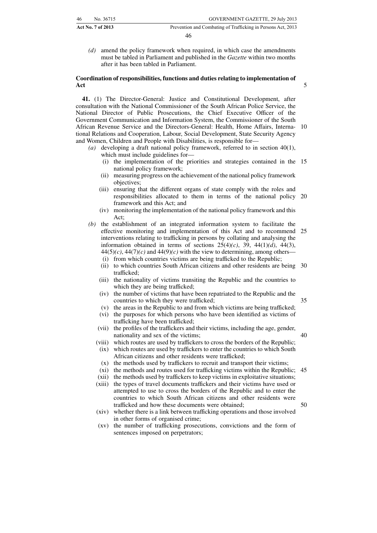|    | Act No. 7 of 2013 | Prevention and Combating of Trafficking in Persons Act, 2013 |
|----|-------------------|--------------------------------------------------------------|
| 46 | No. 36715         | GOVERNMENT GAZETTE, 29 July 2013                             |

*(d)* amend the policy framework when required, in which case the amendments must be tabled in Parliament and published in the *Gazette* within two months after it has been tabled in Parliament.

#### **Coordination of responsibilities, functions and duties relating to implementation of Act**

**41.** (1) The Director-General: Justice and Constitutional Development, after consultation with the National Commissioner of the South African Police Service, the National Director of Public Prosecutions, the Chief Executive Officer of the Government Communication and Information System, the Commissioner of the South African Revenue Service and the Directors-General: Health, Home Affairs, International Relations and Cooperation, Labour, Social Development, State Security Agency and Women, Children and People with Disabilities, is responsible for— 10

- *(a)* developing a draft national policy framework, referred to in section 40(1),
	- which must include guidelines for—
	- (i) the implementation of the priorities and strategies contained in the 15 national policy framework;
	- (ii) measuring progress on the achievement of the national policy framework objectives;
	- (iii) ensuring that the different organs of state comply with the roles and responsibilities allocated to them in terms of the national policy 20 framework and this Act; and
	- (iv) monitoring the implementation of the national policy framework and this Act;
- *(b)* the establishment of an integrated information system to facilitate the effective monitoring and implementation of this Act and to recommend 25 interventions relating to trafficking in persons by collating and analysing the information obtained in terms of sections  $25(4)(c)$ ,  $39$ ,  $44(1)(d)$ ,  $44(3)$ ,  $44(5)(c)$ ,  $44(7)(c)$  and  $44(9)(c)$  with the view to determining, among others-
	- (i) from which countries victims are being trafficked to the Republic;
	- (ii) to which countries South African citizens and other residents are being 30 trafficked;
	- (iii) the nationality of victims transiting the Republic and the countries to which they are being trafficked;
	- (iv) the number of victims that have been repatriated to the Republic and the countries to which they were trafficked;
- 35

40

50

- (v) the areas in the Republic to and from which victims are being trafficked; (vi) the purposes for which persons who have been identified as victims of trafficking have been trafficked;
- (vii) the profiles of the traffickers and their victims, including the age, gender, nationality and sex of the victims;
- (viii) which routes are used by traffickers to cross the borders of the Republic; (ix) which routes are used by traffickers to enter the countries to which South
	- African citizens and other residents were trafficked; (x) the methods used by traffickers to recruit and transport their victims;
	- (xi) the methods and routes used for trafficking victims within the Republic; 45
- (xii) the methods used by traffickers to keep victims in exploitative situations;
- (xiii) the types of travel documents traffickers and their victims have used or attempted to use to cross the borders of the Republic and to enter the countries to which South African citizens and other residents were trafficked and how these documents were obtained;
- (xiv) whether there is a link between trafficking operations and those involved in other forms of organised crime;
- (xv) the number of trafficking prosecutions, convictions and the form of sentences imposed on perpetrators;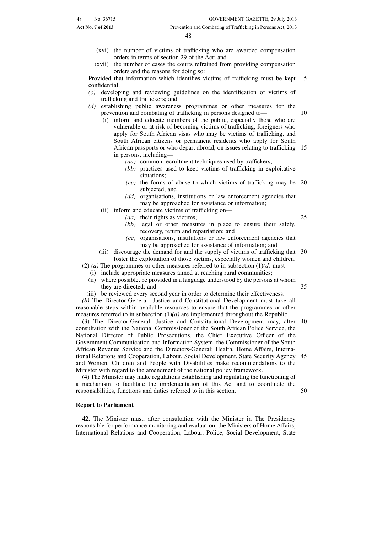| <b>Act No. 7 of 2013</b> |           | Prevention and Combating of Trafficking in Persons Act, 2013 |
|--------------------------|-----------|--------------------------------------------------------------|
| 48                       | No. 36715 | GOVERNMENT GAZETTE, 29 July 2013                             |

- (xvi) the number of victims of trafficking who are awarded compensation orders in terms of section 29 of the Act; and
- (xvii) the number of cases the courts refrained from providing compensation orders and the reasons for doing so:

Provided that information which identifies victims of trafficking must be kept confidential; 5

- *(c)* developing and reviewing guidelines on the identification of victims of trafficking and traffickers; and
- *(d)* establishing public awareness programmes or other measures for the prevention and combating of trafficking in persons designed to—
	- (i) inform and educate members of the public, especially those who are vulnerable or at risk of becoming victims of trafficking, foreigners who apply for South African visas who may be victims of trafficking, and South African citizens or permanent residents who apply for South African passports or who depart abroad, on issues relating to trafficking 15 in persons, including—
		- *(aa)* common recruitment techniques used by traffickers;
		- *(bb)* practices used to keep victims of trafficking in exploitative situations;
		- *(cc)* the forms of abuse to which victims of trafficking may be 20 subjected; and
		- *(dd)* organisations, institutions or law enforcement agencies that may be approached for assistance or information;
	- (ii) inform and educate victims of trafficking on—
		- *(aa)* their rights as victims;
			- *(bb)* legal or other measures in place to ensure their safety, recovery, return and repatriation; and
			- *(cc)* organisations, institutions or law enforcement agencies that may be approached for assistance of information; and
	- (iii) discourage the demand for and the supply of victims of trafficking that 30 foster the exploitation of those victims, especially women and children.

(2) *(a)* The programmes or other measures referred to in subsection  $(1)(d)$  must—

(i) include appropriate measures aimed at reaching rural communities;

- (ii) where possible, be provided in a language understood by the persons at whom they are directed; and
- (iii) be reviewed every second year in order to determine their effectiveness.

*(b)* The Director-General: Justice and Constitutional Development must take all reasonable steps within available resources to ensure that the programmes or other measures referred to in subsection (1)*(d)* are implemented throughout the Republic.

(3) The Director-General: Justice and Constitutional Development may, after 40 consultation with the National Commissioner of the South African Police Service, the National Director of Public Prosecutions, the Chief Executive Officer of the Government Communication and Information System, the Commissioner of the South African Revenue Service and the Directors-General: Health, Home Affairs, International Relations and Cooperation, Labour, Social Development, State Security Agency 45 and Women, Children and People with Disabilities make recommendations to the Minister with regard to the amendment of the national policy framework.

(4) The Minister may make regulations establishing and regulating the functioning of a mechanism to facilitate the implementation of this Act and to coordinate the responsibilities, functions and duties referred to in this section.

#### **Report to Parliament**

**42.** The Minister must, after consultation with the Minister in The Presidency responsible for performance monitoring and evaluation, the Ministers of Home Affairs, International Relations and Cooperation, Labour, Police, Social Development, State

35

25

10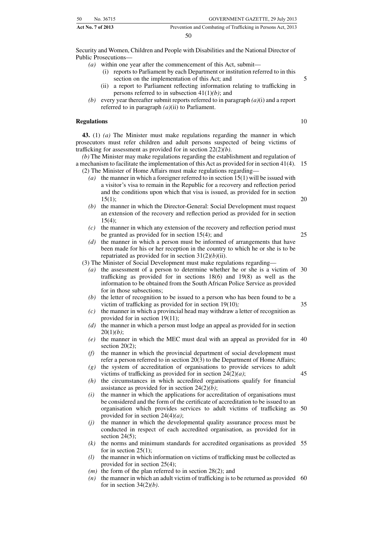| 50 | No. 36715                | GOVERNMENT GAZETTE, 29 July 2013                             |
|----|--------------------------|--------------------------------------------------------------|
|    | <b>Act No. 7 of 2013</b> | Prevention and Combating of Trafficking in Persons Act, 2013 |

Security and Women, Children and People with Disabilities and the National Director of Public Prosecutions—

- *(a)* within one year after the commencement of this Act, submit—
	- (i) reports to Parliament by each Department or institution referred to in this section on the implementation of this Act; and
	- (ii) a report to Parliament reflecting information relating to trafficking in persons referred to in subsection 41(1)*(b)*; and
- *(b)* every year thereafter submit reports referred to in paragraph *(a)*(i) and a report referred to in paragraph *(a)*(ii) to Parliament.

#### **Regulations**

**43.** (1) *(a)* The Minister must make regulations regarding the manner in which prosecutors must refer children and adult persons suspected of being victims of trafficking for assessment as provided for in section 22(2)*(b)*.

*(b)* The Minister may make regulations regarding the establishment and regulation of a mechanism to facilitate the implementation of this Act as provided for in section 41(4). 15 (2) The Minister of Home Affairs must make regulations regarding—

- *(a)* the manner in which a foreigner referred to in section 15(1) will be issued with a visitor's visa to remain in the Republic for a recovery and reflection period and the conditions upon which that visa is issued, as provided for in section  $15(1)$ : 20
- *(b)* the manner in which the Director-General: Social Development must request an extension of the recovery and reflection period as provided for in section  $15(4)$ :
- *(c)* the manner in which any extension of the recovery and reflection period must be granted as provided for in section 15(4); and
- *(d)* the manner in which a person must be informed of arrangements that have been made for his or her reception in the country to which he or she is to be repatriated as provided for in section 31(2)*(b)*(ii).

(3) The Minister of Social Development must make regulations regarding—

- *(a)* the assessment of a person to determine whether he or she is a victim of 30 trafficking as provided for in sections 18(6) and 19(8) as well as the information to be obtained from the South African Police Service as provided for in those subsections;
- *(b)* the letter of recognition to be issued to a person who has been found to be a victim of trafficking as provided for in section 19(10)*;*
- *(c)* the manner in which a provincial head may withdraw a letter of recognition as provided for in section 19(11);
- *(d)* the manner in which a person must lodge an appeal as provided for in section 20(1)*(b)*;
- *(e)* the manner in which the MEC must deal with an appeal as provided for in 40 section  $20(2)$ ;
- *(f)* the manner in which the provincial department of social development must refer a person referred to in section 20(3) to the Department of Home Affairs;
- *(g)* the system of accreditation of organisations to provide services to adult victims of trafficking as provided for in section 24(2)*(a)*;
- *(h)* the circumstances in which accredited organisations qualify for financial assistance as provided for in section 24(2)*(b)*;
- *(i)* the manner in which the applications for accreditation of organisations must be considered and the form of the certificate of accreditation to be issued to an organisation which provides services to adult victims of trafficking as 50 provided for in section 24(4)*(a)*;
- *(j)* the manner in which the developmental quality assurance process must be conducted in respect of each accredited organisation, as provided for in section  $24(5)$ ;
- *(k)* the norms and minimum standards for accredited organisations as provided 55 for in section 25(1);
- *(l)* the manner in which information on victims of trafficking must be collected as provided for in section 25(4);
- *(m)* the form of the plan referred to in section 28(2); and
- *(n)* the manner in which an adult victim of trafficking is to be returned as provided 60for in section 34(2)*(b)*.

10

25

35

45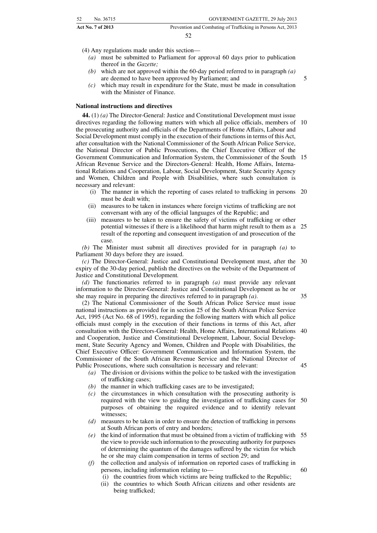| 52<br>No. 36715          | GOVERNMENT GAZETTE, 29 July 2013                             |
|--------------------------|--------------------------------------------------------------|
| <b>Act No. 7 of 2013</b> | Prevention and Combating of Trafficking in Persons Act, 2013 |
|                          |                                                              |

(4) Any regulations made under this section—

- *(a)* must be submitted to Parliament for approval 60 days prior to publication thereof in the *Gazette;*
- *(b)* which are not approved within the 60-day period referred to in paragraph *(a)* are deemed to have been approved by Parliament; and

5

*(c)* which may result in expenditure for the State, must be made in consultation with the Minister of Finance.

#### **National instructions and directives**

**44.** (1) *(a)* The Director-General: Justice and Constitutional Development must issue directives regarding the following matters with which all police officials, members of 10 the prosecuting authority and officials of the Departments of Home Affairs, Labour and Social Development must comply in the execution of their functions in terms of this Act, after consultation with the National Commissioner of the South African Police Service, the National Director of Public Prosecutions, the Chief Executive Officer of the Government Communication and Information System, the Commissioner of the South 15 African Revenue Service and the Directors-General: Health, Home Affairs, International Relations and Cooperation, Labour, Social Development, State Security Agency and Women, Children and People with Disabilities, where such consultation is necessary and relevant:

- (i) The manner in which the reporting of cases related to trafficking in persons 20 must be dealt with;
- (ii) measures to be taken in instances where foreign victims of trafficking are not conversant with any of the official languages of the Republic; and
- (iii) measures to be taken to ensure the safety of victims of trafficking or other potential witnesses if there is a likelihood that harm might result to them as a result of the reporting and consequent investigation of and prosecution of the case. 25

*(b)* The Minister must submit all directives provided for in paragraph *(a)* to Parliament 30 days before they are issued.

*(c)* The Director-General: Justice and Constitutional Development must, after the 30 expiry of the 30-day period, publish the directives on the website of the Department of Justice and Constitutional Development*.*

*(d)* The functionaries referred to in paragraph *(a)* must provide any relevant information to the Director-General: Justice and Constitutional Development as he or she may require in preparing the directives referred to in paragraph *(a)*. 35

(2) The National Commissioner of the South African Police Service must issue national instructions as provided for in section 25 of the South African Police Service Act, 1995 (Act No. 68 of 1995), regarding the following matters with which all police officials must comply in the execution of their functions in terms of this Act, after consultation with the Directors-General: Health, Home Affairs, International Relations 40 and Cooperation, Justice and Constitutional Development, Labour, Social Development, State Security Agency and Women, Children and People with Disabilities, the Chief Executive Officer: Government Communication and Information System, the Commissioner of the South African Revenue Service and the National Director of Public Prosecutions, where such consultation is necessary and relevant: 45

- *(a)* The division or divisions within the police to be tasked with the investigation of trafficking cases;
- *(b)* the manner in which trafficking cases are to be investigated;
- *(c)* the circumstances in which consultation with the prosecuting authority is required with the view to guiding the investigation of trafficking cases for 50 purposes of obtaining the required evidence and to identify relevant witnesses;
- *(d)* measures to be taken in order to ensure the detection of trafficking in persons at South African ports of entry and borders;
- *(e)* the kind of information that must be obtained from a victim of trafficking with 55 the view to provide such information to the prosecuting authority for purposes of determining the quantum of the damages suffered by the victim for which he or she may claim compensation in terms of section 29; and
- *(f)* the collection and analysis of information on reported cases of trafficking in persons, including information relating to—
	- (i) the countries from which victims are being trafficked to the Republic;
	- (ii) the countries to which South African citizens and other residents are being trafficked;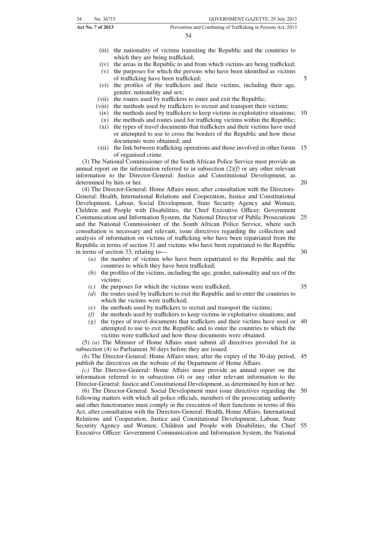| 54<br>No. 36715   | GOVERNMENT GAZETTE, 29 July 2013                             |
|-------------------|--------------------------------------------------------------|
| Act No. 7 of 2013 | Prevention and Combating of Trafficking in Persons Act, 2013 |
|                   | 54                                                           |

- (iii) the nationality of victims transiting the Republic and the countries to which they are being trafficked;
- (iv) the areas in the Republic to and from which victims are being trafficked;
- (v) the purposes for which the persons who have been identified as victims of trafficking have been trafficked;

- (vi) the profiles of the traffickers and their victims, including their age, gender, nationality and sex;
- (vii) the routes used by traffickers to enter and exit the Republic;
- (viii) the methods used by traffickers to recruit and transport their victims;
	- (ix) the methods used by traffickers to keep victims in exploitative situations; 10
- (x) the methods and routes used for trafficking victims within the Republic;
- (xi) the types of travel documents that traffickers and their victims have used or attempted to use to cross the borders of the Republic and how those documents were obtained; and
- (xii) the link between trafficking operations and those involved in other forms 15 of organised crime.

(3) The National Commissioner of the South African Police Service must provide an annual report on the information referred to in subsection (2)*(f)* or any other relevant information to the Director-General: Justice and Constitutional Development, as determined by him or her.

(4) The Director-General: Home Affairs must, after consultation with the Directors-General: Health, International Relations and Cooperation, Justice and Constitutional Development, Labour, Social Development, State Security Agency and Women, Children and People with Disabilities, the Chief Executive Officer: Government Communication and Information System, the National Director of Public Prosecutions 25 and the National Commissioner of the South African Police Service, where such consultation is necessary and relevant, issue directives regarding the collection and analysis of information on victims of trafficking who have been repatriated from the Republic in terms of section 31 and victims who have been repatriated to the Republic in terms of section 33, relating to— 30

- *(a)* the number of victims who have been repatriated to the Republic and the countries to which they have been trafficked;
- *(b)* the profiles of the victims, including the age, gender, nationality and sex of the victims;
- *(c)* the purposes for which the victims were trafficked;
- *(d)* the routes used by traffickers to exit the Republic and to enter the countries to which the victims were trafficked;
- *(e)* the methods used by traffickers to recruit and transport the victims;
- *(f)* the methods used by traffickers to keep victims in exploitative situations; and
- *(g)* the types of travel documents that traffickers and their victims have used or 40 attempted to use to exit the Republic and to enter the countries to which the victims were trafficked and how these documents were obtained.

(5) *(a)* The Minister of Home Affairs must submit all directives provided for in subsection (4) to Parliament 30 days before they are issued.

*(b)* The Director-General: Home Affairs must, after the expiry of the 30-day period, 45 publish the directives on the website of the Department of Home Affairs.

*(c)* The Director-General: Home Affairs must provide an annual report on the information referred to in subsection (4) or any other relevant information to the Director-General: Justice and Constitutional Development, as determined by him or her.

(6) The Director-General: Social Development must issue directives regarding the 50 following matters with which all police officials, members of the prosecuting authority and other functionaries must comply in the execution of their functions in terms of this Act, after consultation with the Directors-General: Health, Home Affairs, International Relations and Cooperation, Justice and Constitutional Development, Labour, State Security Agency and Women, Children and People with Disabilities, the Chief Executive Officer: Government Communication and Information System, the National 55

35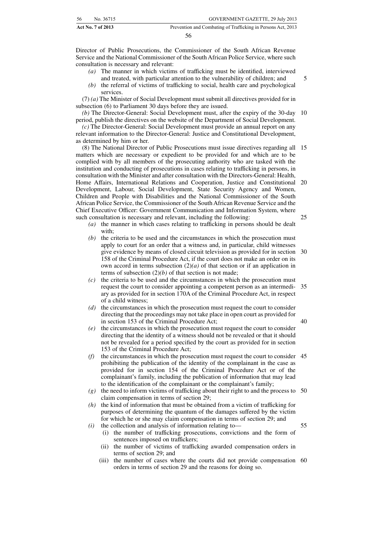| 56 | No. 36715         | GOVERNMENT GAZETTE, 29 July 2013                             |
|----|-------------------|--------------------------------------------------------------|
|    | Act No. 7 of 2013 | Prevention and Combating of Trafficking in Persons Act, 2013 |

Director of Public Prosecutions, the Commissioner of the South African Revenue Service and the National Commissioner of the South African Police Service, where such consultation is necessary and relevant:

- *(a)* The manner in which victims of trafficking must be identified, interviewed
- and treated, with particular attention to the vulnerability of children; and *(b)* the referral of victims of trafficking to social, health care and psychological services.

(7) *(a)* The Minister of Social Development must submit all directives provided for in subsection (6) to Parliament 30 days before they are issued.

*(b)* The Director-General: Social Development must, after the expiry of the 30-day period, publish the directives on the website of the Department of Social Development. 10

*(c)* The Director-General: Social Development must provide an annual report on any relevant information to the Director-General: Justice and Constitutional Development, as determined by him or her.

(8) The National Director of Public Prosecutions must issue directives regarding all 15 matters which are necessary or expedient to be provided for and which are to be complied with by all members of the prosecuting authority who are tasked with the institution and conducting of prosecutions in cases relating to trafficking in persons, in consultation with the Minister and after consultation with the Directors-General: Health, Home Affairs, International Relations and Cooperation, Justice and Constitutional 20 Development, Labour, Social Development, State Security Agency and Women, Children and People with Disabilities and the National Commissioner of the South African Police Service, the Commissioner of the South African Revenue Service and the Chief Executive Officer: Government Communication and Information System, where such consultation is necessary and relevant, including the following: 25

- *(a)* the manner in which cases relating to trafficking in persons should be dealt with;
- *(b)* the criteria to be used and the circumstances in which the prosecution must apply to court for an order that a witness and, in particular, child witnesses give evidence by means of closed circuit television as provided for in section 30 158 of the Criminal Procedure Act, if the court does not make an order on its own accord in terms subsection  $(2)(a)$  of that section or if an application in terms of subsection  $(2)(b)$  of that section is not made;
- *(c)* the criteria to be used and the circumstances in which the prosecution must request the court to consider appointing a competent person as an intermedi-35 ary as provided for in section 170A of the Criminal Procedure Act, in respect of a child witness;
- *(d)* the circumstances in which the prosecution must request the court to consider directing that the proceedings may not take place in open court as provided for in section 153 of the Criminal Procedure Act;
- *(e)* the circumstances in which the prosecution must request the court to consider directing that the identity of a witness should not be revealed or that it should not be revealed for a period specified by the court as provided for in section 153 of the Criminal Procedure Act;
- *(f)* the circumstances in which the prosecution must request the court to consider 45 prohibiting the publication of the identity of the complainant in the case as provided for in section 154 of the Criminal Procedure Act or of the complainant's family, including the publication of information that may lead to the identification of the complainant or the complainant's family;
- *(g)* the need to inform victims of trafficking about their right to and the process to 50 claim compensation in terms of section 29;
- *(h)* the kind of information that must be obtained from a victim of trafficking for purposes of determining the quantum of the damages suffered by the victim for which he or she may claim compensation in terms of section 29; and
- *(i)* the collection and analysis of information relating to— (i) the number of trafficking prosecutions, convictions and the form of sentences imposed on traffickers;
	- (ii) the number of victims of trafficking awarded compensation orders in terms of section 29; and
	- (iii) the number of cases where the courts did not provide compensation 60orders in terms of section 29 and the reasons for doing so.

5

40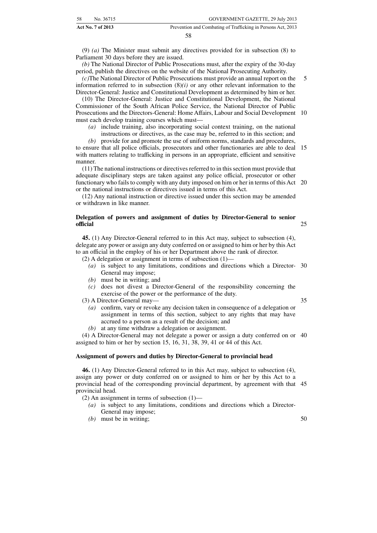| 58                | No. 36715 | GOVERNMENT GAZETTE, 29 July 2013                             |
|-------------------|-----------|--------------------------------------------------------------|
| Act No. 7 of 2013 |           | Prevention and Combating of Trafficking in Persons Act, 2013 |

(9) *(a)* The Minister must submit any directives provided for in subsection (8) to Parliament 30 days before they are issued.

*(b)* The National Director of Public Prosecutions must, after the expiry of the 30-day period, publish the directives on the website of the National Prosecuting Authority.

*(c)*The National Director of Public Prosecutions must provide an annual report on the information referred to in subsection  $(8)(i)$  or any other relevant information to the Director-General: Justice and Constitutional Development as determined by him or her.

(10) The Director-General: Justice and Constitutional Development, the National Commissioner of the South African Police Service, the National Director of Public Prosecutions and the Directors-General: Home Affairs, Labour and Social Development 10 must each develop training courses which must—

*(a)* include training, also incorporating social context training, on the national

instructions or directives, as the case may be, referred to in this section; and

*(b)* provide for and promote the use of uniform norms, standards and procedures,

to ensure that all police officials, prosecutors and other functionaries are able to deal 15 with matters relating to trafficking in persons in an appropriate, efficient and sensitive manner.

(11) The national instructions or directives referred to in this section must provide that adequate disciplinary steps are taken against any police official, prosecutor or other functionary who fails to comply with any duty imposed on him or her in terms of this Act 20 or the national instructions or directives issued in terms of this Act.

(12) Any national instruction or directive issued under this section may be amended or withdrawn in like manner.

#### **Delegation of powers and assignment of duties by Director-General to senior official**

**45.** (1) Any Director-General referred to in this Act may, subject to subsection (4), delegate any power or assign any duty conferred on or assigned to him or her by this Act to an official in the employ of his or her Department above the rank of director.

(2) A delegation or assignment in terms of subsection (1)—

- *(a)* is subject to any limitations, conditions and directions which a Director-30 General may impose;
- *(b)* must be in writing; and
- *(c)* does not divest a Director-General of the responsibility concerning the exercise of the power or the performance of the duty.

(3) A Director-General may—

35

25

5

- *(a)* confirm, vary or revoke any decision taken in consequence of a delegation or assignment in terms of this section, subject to any rights that may have accrued to a person as a result of the decision; and
- *(b)* at any time withdraw a delegation or assignment.

(4) A Director-General may not delegate a power or assign a duty conferred on or 40 assigned to him or her by section 15, 16, 31, 38, 39, 41 or 44 of this Act.

#### **Assignment of powers and duties by Director-General to provincial head**

**46.** (1) Any Director-General referred to in this Act may, subject to subsection (4), assign any power or duty conferred on or assigned to him or her by this Act to a provincial head of the corresponding provincial department, by agreement with that 45 provincial head.

- (2) An assignment in terms of subsection (1)—
	- *(a)* is subject to any limitations, conditions and directions which a Director-General may impose;
	- *(b)* must be in writing;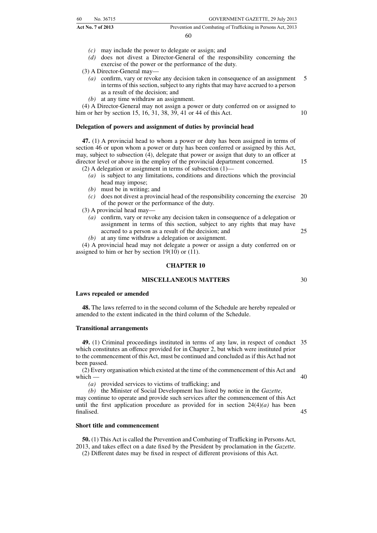|    | <b>Act No. 7 of 2013</b> | Prevention and Combating of Trafficking in Persons Act, 2013 |
|----|--------------------------|--------------------------------------------------------------|
| 60 | No. 36715                | GOVERNMENT GAZETTE, 29 July 2013                             |

- *(c)* may include the power to delegate or assign; and
- *(d)* does not divest a Director-General of the responsibility concerning the exercise of the power or the performance of the duty.
- (3) A Director-General may—
	- *(a)* confirm, vary or revoke any decision taken in consequence of an assignment in terms of this section, subject to any rights that may have accrued to a person as a result of the decision; and 5

10

15

30

45

*(b)* at any time withdraw an assignment.

(4) A Director-General may not assign a power or duty conferred on or assigned to him or her by section 15, 16, 31, 38, 39, 41 or 44 of this Act.

#### **Delegation of powers and assignment of duties by provincial head**

**47.** (1) A provincial head to whom a power or duty has been assigned in terms of section 46 or upon whom a power or duty has been conferred or assigned by this Act, may, subject to subsection (4), delegate that power or assign that duty to an officer at director level or above in the employ of the provincial department concerned. (2) A delegation or assignment in terms of subsection  $(1)$ —

- *(a)* is subject to any limitations, conditions and directions which the provincial head may impose;
- *(b)* must be in writing; and
- *(c)* does not divest a provincial head of the responsibility concerning the exercise 20 of the power or the performance of the duty.
- (3) A provincial head may—
	- *(a)* confirm, vary or revoke any decision taken in consequence of a delegation or assignment in terms of this section, subject to any rights that may have accrued to a person as a result of the decision; and 25
	- *(b)* at any time withdraw a delegation or assignment.

(4) A provincial head may not delegate a power or assign a duty conferred on or assigned to him or her by section 19(10) or (11).

#### **CHAPTER 10**

#### **MISCELLANEOUS MATTERS**

#### **Laws repealed or amended**

**48.** The laws referred to in the second column of the Schedule are hereby repealed or amended to the extent indicated in the third column of the Schedule.

#### **Transitional arrangements**

**49.** (1) Criminal proceedings instituted in terms of any law, in respect of conduct 35 which constitutes an offence provided for in Chapter 2, but which were instituted prior to the commencement of this Act, must be continued and concluded as if this Act had not been passed.

(2) Every organisation which existed at the time of the commencement of this Act and which — 40

*(a)* provided services to victims of trafficking; and

*(b)* the Minister of Social Development has listed by notice in the *Gazette*, may continue to operate and provide such services after the commencement of this Act until the first application procedure as provided for in section  $24(4)(a)$  has been finalised.

#### **Short title and commencement**

**50.** (1) This Act is called the Prevention and Combating of Trafficking in Persons Act, 2013, and takes effect on a date fixed by the President by proclamation in the *Gazette*.

(2) Different dates may be fixed in respect of different provisions of this Act.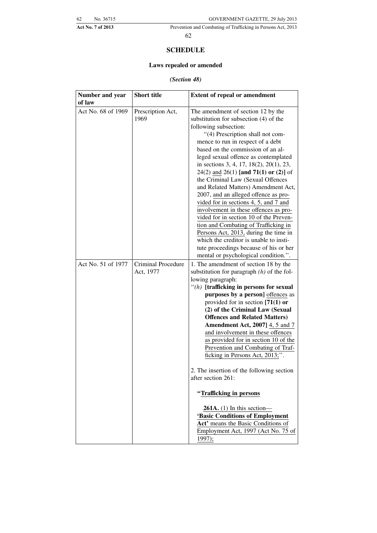#### **SCHEDULE**

#### **Laws repealed or amended**

#### *(Section 48)*

| Number and year<br>of law | <b>Short title</b> | <b>Extent of repeal or amendment</b>                                          |
|---------------------------|--------------------|-------------------------------------------------------------------------------|
| Act No. 68 of 1969        |                    |                                                                               |
|                           | Prescription Act,  | The amendment of section 12 by the                                            |
|                           | 1969               | substitution for subsection (4) of the                                        |
|                           |                    | following subsection:                                                         |
|                           |                    | "(4) Prescription shall not com-                                              |
|                           |                    | mence to run in respect of a debt                                             |
|                           |                    | based on the commission of an al-                                             |
|                           |                    | leged sexual offence as contemplated                                          |
|                           |                    | in sections 3, 4, 17, 18(2), 20(1), 23,                                       |
|                           |                    | 24(2) and 26(1) [and 71(1) or (2)] of                                         |
|                           |                    | the Criminal Law (Sexual Offences                                             |
|                           |                    | and Related Matters) Amendment Act,                                           |
|                           |                    | 2007, and an alleged offence as pro-<br>vided for in sections 4, 5, and 7 and |
|                           |                    | involvement in these offences as pro-                                         |
|                           |                    | vided for in section 10 of the Preven-                                        |
|                           |                    | tion and Combating of Trafficking in                                          |
|                           |                    | Persons Act, 2013, during the time in                                         |
|                           |                    | which the creditor is unable to insti-                                        |
|                           |                    | tute proceedings because of his or her                                        |
|                           |                    | mental or psychological condition.".                                          |
| Act No. 51 of 1977        | Criminal Procedure | 1. The amendment of section 18 by the                                         |
|                           | Act, 1977          | substitution for paragraph $(h)$ of the fol-                                  |
|                           |                    | lowing paragraph:                                                             |
|                           |                    | $"$ (h) [trafficking in persons for sexual                                    |
|                           |                    | purposes by a person] offences as                                             |
|                           |                    | provided for in section $[71(1)$ or                                           |
|                           |                    | (2) of the Criminal Law (Sexual                                               |
|                           |                    | <b>Offences and Related Matters)</b>                                          |
|                           |                    | <b>Amendment Act, 2007]</b> 4, 5 and 7                                        |
|                           |                    | and involvement in these offences                                             |
|                           |                    | as provided for in section 10 of the                                          |
|                           |                    | Prevention and Combating of Traf-                                             |
|                           |                    | ficking in Persons Act, 2013;".                                               |
|                           |                    | 2. The insertion of the following section                                     |
|                           |                    | after section 261:                                                            |
|                           |                    | "Trafficking in persons                                                       |
|                           |                    | $261A.$ (1) In this section-                                                  |
|                           |                    | 'Basic Conditions of Employment                                               |
|                           |                    | Act' means the Basic Conditions of                                            |
|                           |                    | Employment Act, 1997 (Act No. 75 of                                           |
|                           |                    | 1997);                                                                        |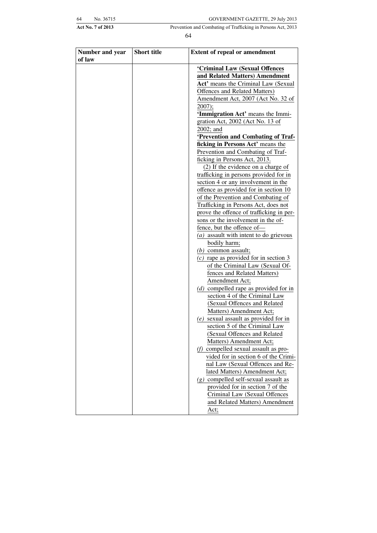| 54 | No. 36715 |  |
|----|-----------|--|
|    |           |  |

| Number and year<br>of law | <b>Short title</b> | <b>Extent of repeal or amendment</b>     |
|---------------------------|--------------------|------------------------------------------|
|                           |                    | 'Criminal Law (Sexual Offences           |
|                           |                    | and Related Matters) Amendment           |
|                           |                    | Act' means the Criminal Law (Sexual      |
|                           |                    | Offences and Related Matters)            |
|                           |                    | Amendment Act, 2007 (Act No. 32 of       |
|                           |                    | $2007$ ;                                 |
|                           |                    | 'Immigration Act' means the Immi-        |
|                           |                    | gration Act, 2002 (Act No. 13 of         |
|                           |                    | $2002$ ; and                             |
|                           |                    | 'Prevention and Combating of Traf-       |
|                           |                    | ficking in Persons Act' means the        |
|                           |                    | Prevention and Combating of Traf-        |
|                           |                    | ficking in Persons Act, 2013.            |
|                           |                    | $(2)$ If the evidence on a charge of     |
|                           |                    | trafficking in persons provided for in   |
|                           |                    | section 4 or any involvement in the      |
|                           |                    | offence as provided for in section 10    |
|                           |                    | of the Prevention and Combating of       |
|                           |                    | Trafficking in Persons Act, does not     |
|                           |                    | prove the offence of trafficking in per- |
|                           |                    | sons or the involvement in the of-       |
|                           |                    | fence, but the offence of-               |
|                           |                    | $(a)$ assault with intent to do grievous |
|                           |                    | bodily harm;                             |
|                           |                    | $(b)$ common assault;                    |
|                           |                    | $(c)$ rape as provided for in section 3  |
|                           |                    | of the Criminal Law (Sexual Of-          |
|                           |                    | fences and Related Matters)              |
|                           |                    | Amendment Act;                           |
|                           |                    | $(d)$ compelled rape as provided for in  |
|                           |                    | section 4 of the Criminal Law            |
|                           |                    | (Sexual Offences and Related             |
|                           |                    | Matters) Amendment Act;                  |
|                           |                    | $(e)$ sexual assault as provided for in  |
|                           |                    | section 5 of the Criminal Law            |
|                           |                    | (Sexual Offences and Related             |
|                           |                    | Matters) Amendment Act;                  |
|                           |                    | $(f)$ compelled sexual assault as pro-   |
|                           |                    | vided for in section 6 of the Crimi-     |
|                           |                    | nal Law (Sexual Offences and Re-         |
|                           |                    | lated Matters) Amendment Act;            |
|                           |                    | $(g)$ compelled self-sexual assault as   |
|                           |                    | provided for in section 7 of the         |
|                           |                    | Criminal Law (Sexual Offences            |
|                           |                    |                                          |
|                           |                    | and Related Matters) Amendment           |
|                           |                    | Act;                                     |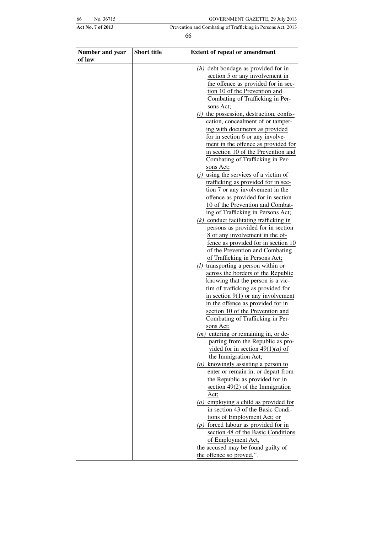| 56 | No. 36715 |  |
|----|-----------|--|
|    |           |  |

| Number and year | <b>Short title</b> | <b>Extent of repeal or amendment</b>                                    |
|-----------------|--------------------|-------------------------------------------------------------------------|
| of law          |                    | $(h)$ debt bondage as provided for in                                   |
|                 |                    | section 5 or any involvement in                                         |
|                 |                    | the offence as provided for in sec-                                     |
|                 |                    | tion 10 of the Prevention and                                           |
|                 |                    | Combating of Trafficking in Per-                                        |
|                 |                    | sons Act;                                                               |
|                 |                    | $(i)$ the possession, destruction, confis-                              |
|                 |                    | cation, concealment of or tamper-                                       |
|                 |                    | ing with documents as provided                                          |
|                 |                    | for in section 6 or any involve-                                        |
|                 |                    | ment in the offence as provided for                                     |
|                 |                    | in section 10 of the Prevention and                                     |
|                 |                    | Combating of Trafficking in Per-                                        |
|                 |                    | sons Act;                                                               |
|                 |                    | $(i)$ using the services of a victim of                                 |
|                 |                    | trafficking as provided for in sec-                                     |
|                 |                    | tion 7 or any involvement in the                                        |
|                 |                    | offence as provided for in section                                      |
|                 |                    | 10 of the Prevention and Combat-                                        |
|                 |                    | ing of Trafficking in Persons Act;                                      |
|                 |                    | $(k)$ conduct facilitating trafficking in                               |
|                 |                    | persons as provided for in section                                      |
|                 |                    | 8 or any involvement in the of-                                         |
|                 |                    | fence as provided for in section 10                                     |
|                 |                    | of the Prevention and Combating                                         |
|                 |                    | of Trafficking in Persons Act;                                          |
|                 |                    | $(l)$ transporting a person within or                                   |
|                 |                    | across the borders of the Republic<br>knowing that the person is a vic- |
|                 |                    | tim of trafficking as provided for                                      |
|                 |                    | in section $9(1)$ or any involvement                                    |
|                 |                    | in the offence as provided for in                                       |
|                 |                    | section 10 of the Prevention and                                        |
|                 |                    | Combating of Trafficking in Per-                                        |
|                 |                    | sons Act;                                                               |
|                 |                    | $(m)$ entering or remaining in, or de-                                  |
|                 |                    | parting from the Republic as pro-                                       |
|                 |                    | vided for in section $49(1)(a)$ of                                      |
|                 |                    | the Immigration Act;                                                    |
|                 |                    | $(n)$ knowingly assisting a person to                                   |
|                 |                    | enter or remain in, or depart from                                      |
|                 |                    | the Republic as provided for in                                         |
|                 |                    | section $49(2)$ of the Immigration                                      |
|                 |                    | Act;                                                                    |
|                 |                    | $(o)$ employing a child as provided for                                 |
|                 |                    | in section 43 of the Basic Condi-                                       |
|                 |                    | tions of Employment Act; or<br>$(p)$ forced labour as provided for in   |
|                 |                    | section 48 of the Basic Conditions                                      |
|                 |                    | of Employment Act,                                                      |
|                 |                    | the accused may be found guilty of                                      |
|                 |                    | the offence so proved.".                                                |
|                 |                    |                                                                         |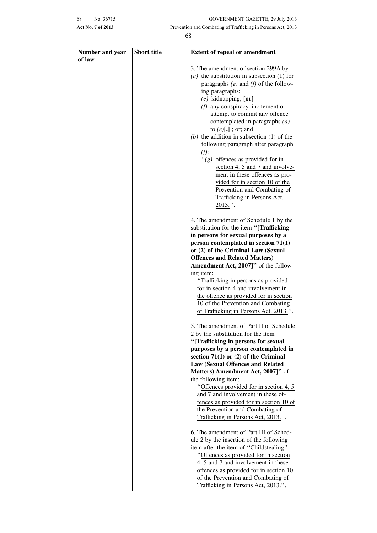| 58 | No. 36715 |  |
|----|-----------|--|
|    |           |  |

| Number and year<br>of law | <b>Short title</b> | <b>Extent of repeal or amendment</b>                                                                                                                                                                                                                                                                                                                                                                                                                                                                                                                                                                                                              |
|---------------------------|--------------------|---------------------------------------------------------------------------------------------------------------------------------------------------------------------------------------------------------------------------------------------------------------------------------------------------------------------------------------------------------------------------------------------------------------------------------------------------------------------------------------------------------------------------------------------------------------------------------------------------------------------------------------------------|
|                           |                    | 3. The amendment of section 299A by-<br>(a) the substitution in subsection $(1)$ for<br>paragraphs $(e)$ and $(f)$ of the follow-<br>ing paragraphs:<br>$(e)$ kidnapping; $[or]$<br>$(f)$ any conspiracy, incitement or<br>attempt to commit any offence<br>contemplated in paragraphs $(a)$<br>to $(e)[,]$ ; or; and<br>(b) the addition in subsection $(1)$ of the<br>following paragraph after paragraph<br>$(f)$ :<br>"( $g$ ) offences as provided for in<br>section 4, 5 and 7 and involve-<br>ment in these offences as pro-<br>vided for in section 10 of the<br>Prevention and Combating of<br>Trafficking in Persons Act,<br>$2013."$ . |
|                           |                    | 4. The amendment of Schedule 1 by the<br>substitution for the item "[Trafficking<br>in persons for sexual purposes by a<br>person contemplated in section $71(1)$<br>or (2) of the Criminal Law (Sexual<br><b>Offences and Related Matters)</b><br>Amendment Act, 2007]" of the follow-<br>ing item:<br>"Trafficking in persons as provided<br>for in section 4 and involvement in<br>the offence as provided for in section<br>10 of the Prevention and Combating<br>of Trafficking in Persons Act, 2013.".                                                                                                                                      |
|                           |                    | 5. The amendment of Part II of Schedule<br>2 by the substitution for the item<br>"[Trafficking in persons for sexual<br>purposes by a person contemplated in<br>section $71(1)$ or $(2)$ of the Criminal<br>Law (Sexual Offences and Related<br>Matters) Amendment Act, 2007]" of<br>the following item:<br>"Offences provided for in section 4, 5<br>and 7 and involvement in these of-<br>fences as provided for in section 10 of<br>the Prevention and Combating of<br>Trafficking in Persons Act, 2013.".                                                                                                                                     |
|                           |                    | 6. The amendment of Part III of Sched-<br>ule 2 by the insertion of the following<br>item after the item of "Childstealing":<br>"Offences as provided for in section<br>4, 5 and 7 and involvement in these<br>offences as provided for in section 10<br>of the Prevention and Combating of<br>Trafficking in Persons Act, 2013.".                                                                                                                                                                                                                                                                                                                |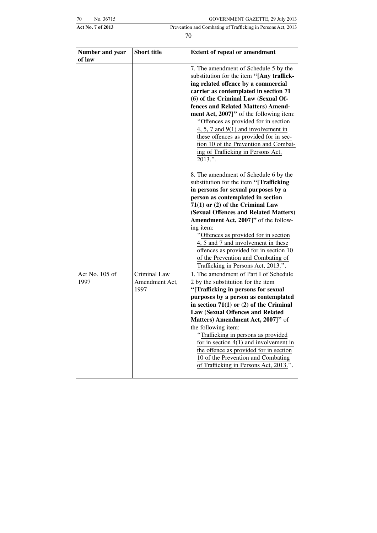| '0 | No. 36715 |
|----|-----------|
|    |           |

| Number and year        | <b>Short title</b>                     | <b>Extent of repeal or amendment</b>                                                                                                                                                                                                                                                                                                                                                                                                                                                                                         |
|------------------------|----------------------------------------|------------------------------------------------------------------------------------------------------------------------------------------------------------------------------------------------------------------------------------------------------------------------------------------------------------------------------------------------------------------------------------------------------------------------------------------------------------------------------------------------------------------------------|
| of law                 |                                        |                                                                                                                                                                                                                                                                                                                                                                                                                                                                                                                              |
|                        |                                        | 7. The amendment of Schedule 5 by the<br>substitution for the item "[Any traffick-<br>ing related offence by a commercial<br>carrier as contemplated in section 71<br>(6) of the Criminal Law (Sexual Of-<br>fences and Related Matters) Amend-<br>ment Act, 2007]" of the following item:<br>"Offences as provided for in section<br>4, 5, 7 and $9(1)$ and involvement in<br>these offences as provided for in sec-<br>tion 10 of the Prevention and Combat-<br>ing of Trafficking in Persons Act,                         |
|                        |                                        | $2013."$ .<br>8. The amendment of Schedule 6 by the<br>substitution for the item "[Trafficking<br>in persons for sexual purposes by a<br>person as contemplated in section<br>$71(1)$ or (2) of the Criminal Law<br>(Sexual Offences and Related Matters)<br>Amendment Act, 2007]" of the follow-<br>ing item:<br>"Offences as provided for in section<br>4, 5 and 7 and involvement in these<br>offences as provided for in section 10<br>of the Prevention and Combating of<br>Trafficking in Persons Act, 2013.".         |
| Act No. 105 of<br>1997 | Criminal Law<br>Amendment Act,<br>1997 | 1. The amendment of Part I of Schedule<br>2 by the substitution for the item<br>"[Trafficking in persons for sexual<br>purposes by a person as contemplated<br>in section $71(1)$ or (2) of the Criminal<br><b>Law (Sexual Offences and Related</b><br>Matters) Amendment Act, 2007]" of<br>the following item:<br>"Trafficking in persons as provided<br>for in section $4(1)$ and involvement in<br>the offence as provided for in section<br>10 of the Prevention and Combating<br>of Trafficking in Persons Act, 2013.". |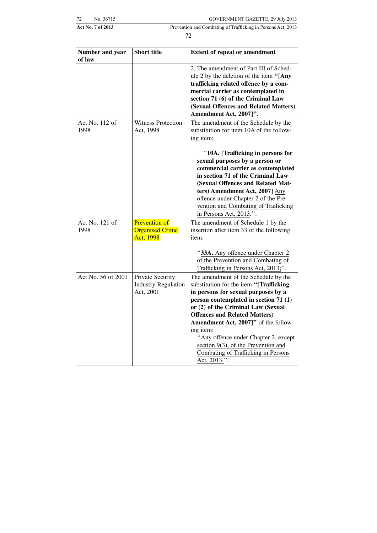| 72 | No. 36715 |
|----|-----------|
|    |           |

| Number and year<br>of law | <b>Short title</b>                                          | <b>Extent of repeal or amendment</b>                                                                                                                                                                                                                                                                                                                                                                                                     |
|---------------------------|-------------------------------------------------------------|------------------------------------------------------------------------------------------------------------------------------------------------------------------------------------------------------------------------------------------------------------------------------------------------------------------------------------------------------------------------------------------------------------------------------------------|
|                           |                                                             | 2. The amendment of Part III of Sched-<br>ule 2 by the deletion of the item "[Any<br>trafficking related offence by a com-<br>mercial carrier as contemplated in<br>section 71 (6) of the Criminal Law<br>(Sexual Offences and Related Matters)<br>Amendment Act, 2007]".                                                                                                                                                                |
| Act No. 112 of<br>1998    | <b>Witness Protection</b><br>Act, 1998                      | The amendment of the Schedule by the<br>substitution for item 10A of the follow-<br>ing item:                                                                                                                                                                                                                                                                                                                                            |
|                           |                                                             | "10A. [Trafficking in persons for<br>sexual purposes by a person or<br>commercial carrier as contemplated<br>in section 71 of the Criminal Law<br>(Sexual Offences and Related Mat-<br>ters) Amendment Act, 2007] Any<br>offence under Chapter 2 of the Pre-<br>vention and Combating of Trafficking<br>in Persons Act, 2013.".                                                                                                          |
| Act No. 121 of<br>1998    | <b>Prevention of</b><br><b>Organised Crime</b><br>Act, 1998 | The amendment of Schedule 1 by the<br>insertion after item 33 of the following<br>item:                                                                                                                                                                                                                                                                                                                                                  |
|                           |                                                             | "33A. Any offence under Chapter 2<br>of the Prevention and Combating of<br>Trafficking in Persons Act, 2013;".                                                                                                                                                                                                                                                                                                                           |
| Act No. 56 of 2001        | Private Security<br><b>Industry Regulation</b><br>Act, 2001 | The amendment of the Schedule by the<br>substitution for the item "[Trafficking<br>in persons for sexual purposes by a<br>person contemplated in section 71 (1)<br>or (2) of the Criminal Law (Sexual<br><b>Offences and Related Matters)</b><br>Amendment Act, 2007]" of the follow-<br>ing item:<br>"Any offence under Chapter 2, except<br>section 9(3), of the Prevention and<br>Combating of Trafficking in Persons<br>Act, 2013.". |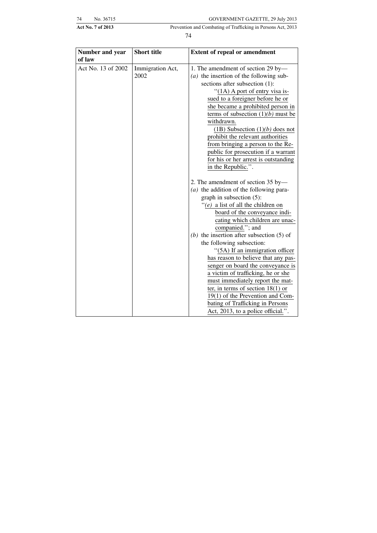| 74 | No. 36715 |
|----|-----------|

Act No. 7 of 2013 Prevention and Combating of Trafficking in Persons Act, 2013 74

| Number and year<br>of law | <b>Short title</b> | <b>Extent of repeal or amendment</b>        |
|---------------------------|--------------------|---------------------------------------------|
| Act No. 13 of 2002        | Immigration Act,   | 1. The amendment of section 29 by-          |
|                           | 2002               | $(a)$ the insertion of the following sub-   |
|                           |                    | sections after subsection (1):              |
|                           |                    | "(1A) A port of entry visa is-              |
|                           |                    | sued to a foreigner before he or            |
|                           |                    | she became a prohibited person in           |
|                           |                    | terms of subsection $(1)(b)$ must be        |
|                           |                    | withdrawn.                                  |
|                           |                    | $(1B)$ Subsection $(1)(b)$ does not         |
|                           |                    | prohibit the relevant authorities           |
|                           |                    | from bringing a person to the Re-           |
|                           |                    | public for prosecution if a warrant         |
|                           |                    | for his or her arrest is outstanding        |
|                           |                    | in the Republic.".                          |
|                           |                    | 2. The amendment of section 35 by-          |
|                           |                    | $(a)$ the addition of the following para-   |
|                           |                    | graph in subsection (5):                    |
|                           |                    | "(e) a list of all the children on          |
|                           |                    | board of the conveyance indi-               |
|                           |                    | cating which children are unac-             |
|                           |                    | companied."; and                            |
|                           |                    | (b) the insertion after subsection $(5)$ of |
|                           |                    | the following subsection:                   |
|                           |                    | "(5A) If an immigration officer             |
|                           |                    | has reason to believe that any pas-         |
|                           |                    | senger on board the conveyance is           |
|                           |                    | a victim of trafficking, he or she          |
|                           |                    | must immediately report the mat-            |
|                           |                    | ter, in terms of section $18(1)$ or         |
|                           |                    | 19(1) of the Prevention and Com-            |
|                           |                    | bating of Trafficking in Persons            |
|                           |                    | Act, 2013, to a police official.".          |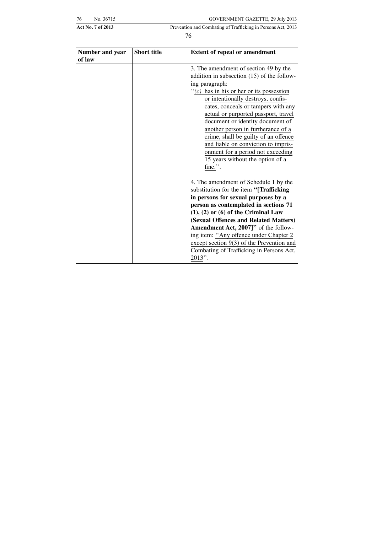| 76 | No. 36715 |  |
|----|-----------|--|

Act No. 7 of 2013 Prevention and Combating of Trafficking in Persons Act, 2013

| Number and year<br>of law | <b>Short title</b> | <b>Extent of repeal or amendment</b>                                                |
|---------------------------|--------------------|-------------------------------------------------------------------------------------|
|                           |                    | 3. The amendment of section 49 by the<br>addition in subsection (15) of the follow- |
|                           |                    | ing paragraph:                                                                      |
|                           |                    | " $(c)$ has in his or her or its possession"                                        |
|                           |                    | or intentionally destroys, confis-                                                  |
|                           |                    | cates, conceals or tampers with any                                                 |
|                           |                    | actual or purported passport, travel                                                |
|                           |                    | document or identity document of                                                    |
|                           |                    | another person in furtherance of a                                                  |
|                           |                    | crime, shall be guilty of an offence                                                |
|                           |                    | and liable on conviction to impris-<br>onment for a period not exceeding            |
|                           |                    | 15 years without the option of a                                                    |
|                           |                    | fine.".                                                                             |
|                           |                    |                                                                                     |
|                           |                    | 4. The amendment of Schedule 1 by the                                               |
|                           |                    | substitution for the item "[Trafficking                                             |
|                           |                    | in persons for sexual purposes by a                                                 |
|                           |                    | person as contemplated in sections 71                                               |
|                           |                    | $(1), (2)$ or $(6)$ of the Criminal Law                                             |
|                           |                    | (Sexual Offences and Related Matters)                                               |
|                           |                    | Amendment Act, 2007]" of the follow-                                                |
|                           |                    | ing item: "Any offence under Chapter 2                                              |
|                           |                    | except section 9(3) of the Prevention and                                           |
|                           |                    | Combating of Trafficking in Persons Act,                                            |
|                           |                    | 2013".                                                                              |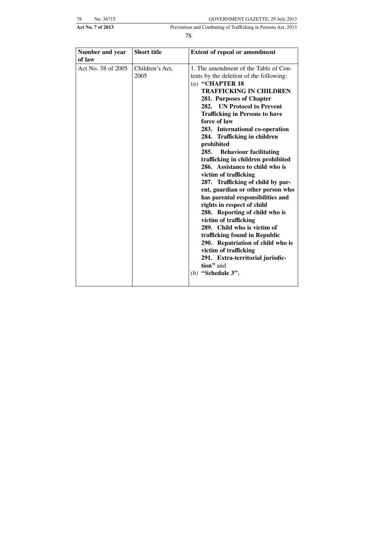| 78 | No. 36715 |  |
|----|-----------|--|
|    |           |  |

Act No. 7 of 2013 Prevention and Combating of Trafficking in Persons Act, 2013

| Number and year<br>of law | <b>Short title</b>      | <b>Extent of repeal or amendment</b>                                                                                                                                                                                                                                                                                                                                                                                                                                                                                                                                                                                                                                                                                                                                                                                                                                                        |
|---------------------------|-------------------------|---------------------------------------------------------------------------------------------------------------------------------------------------------------------------------------------------------------------------------------------------------------------------------------------------------------------------------------------------------------------------------------------------------------------------------------------------------------------------------------------------------------------------------------------------------------------------------------------------------------------------------------------------------------------------------------------------------------------------------------------------------------------------------------------------------------------------------------------------------------------------------------------|
| Act No. 38 of 2005        | Children's Act,<br>2005 | 1. The amendment of the Table of Con-<br>tents by the deletion of the following:<br>$(a)$ "CHAPTER 18<br><b>TRAFFICKING IN CHILDREN</b><br>281. Purposes of Chapter<br>282. UN Protocol to Prevent<br><b>Trafficking in Persons to have</b><br>force of law<br>283. International co-operation<br>284. Trafficking in children<br>prohibited<br>285. Behaviour facilitating<br>trafficking in children prohibited<br>286. Assistance to child who is<br>victim of trafficking<br>287. Trafficking of child by par-<br>ent, guardian or other person who<br>has parental responsibilities and<br>rights in respect of child<br>288. Reporting of child who is<br>victim of trafficking<br>289. Child who is victim of<br>trafficking found in Republic<br>290. Repatriation of child who is<br>victim of trafficking<br>291. Extra-territorial jurisdic-<br>tion" and<br>$(b)$ "Schedule 3". |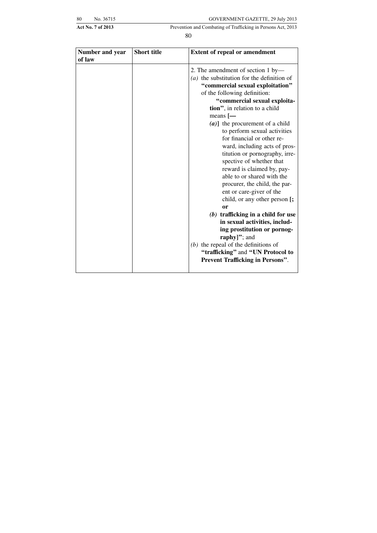| šθ | No. 36715 |
|----|-----------|

| Number and year<br>of law | <b>Short title</b> | <b>Extent of repeal or amendment</b>                                                                                                                                                                                                                                                                                                                                                                                                                                                                                                                                                                                                                                                                                                                                                                                                                          |
|---------------------------|--------------------|---------------------------------------------------------------------------------------------------------------------------------------------------------------------------------------------------------------------------------------------------------------------------------------------------------------------------------------------------------------------------------------------------------------------------------------------------------------------------------------------------------------------------------------------------------------------------------------------------------------------------------------------------------------------------------------------------------------------------------------------------------------------------------------------------------------------------------------------------------------|
|                           |                    | 2. The amendment of section 1 by-<br>$(a)$ the substitution for the definition of<br>"commercial sexual exploitation"<br>of the following definition:<br>"commercial sexual exploita-<br>tion", in relation to a child<br>means $[-$<br>$(a)$ ] the procurement of a child<br>to perform sexual activities<br>for financial or other re-<br>ward, including acts of pros-<br>titution or pornography, irre-<br>spective of whether that<br>reward is claimed by, pay-<br>able to or shared with the<br>procurer, the child, the par-<br>ent or care-giver of the<br>child, or any other person [;<br><sub>or</sub><br>$(b)$ trafficking in a child for use<br>in sexual activities, includ-<br>ing prostitution or pornog-<br>raphy]"; and<br>$(b)$ the repeal of the definitions of<br>"trafficking" and "UN Protocol to<br>Prevent Trafficking in Persons". |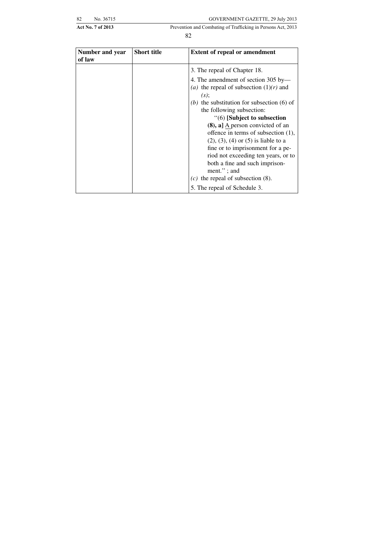| 82 | No. 36715 |  |
|----|-----------|--|
|    |           |  |

| Number and year<br>of law | <b>Short title</b> | <b>Extent of repeal or amendment</b>                                             |
|---------------------------|--------------------|----------------------------------------------------------------------------------|
|                           |                    | 3. The repeal of Chapter 18.                                                     |
|                           |                    | 4. The amendment of section 305 by-<br>(a) the repeal of subsection $(1)(r)$ and |
|                           |                    | $(s)$ ;                                                                          |
|                           |                    | the substitution for subsection $(6)$ of<br>(b)                                  |
|                           |                    | the following subsection:                                                        |
|                           |                    | "(6) [Subject to subsection                                                      |
|                           |                    | $(8)$ , a] A person convicted of an                                              |
|                           |                    | offence in terms of subsection $(1)$ ,                                           |
|                           |                    | $(2)$ , $(3)$ , $(4)$ or $(5)$ is liable to a                                    |
|                           |                    | fine or to imprisonment for a pe-                                                |
|                           |                    | riod not exceeding ten years, or to                                              |
|                           |                    | both a fine and such imprison-                                                   |
|                           |                    | $ment.'$ ; and                                                                   |
|                           |                    | (c) the repeal of subsection $(8)$ .                                             |
|                           |                    | 5. The repeal of Schedule 3.                                                     |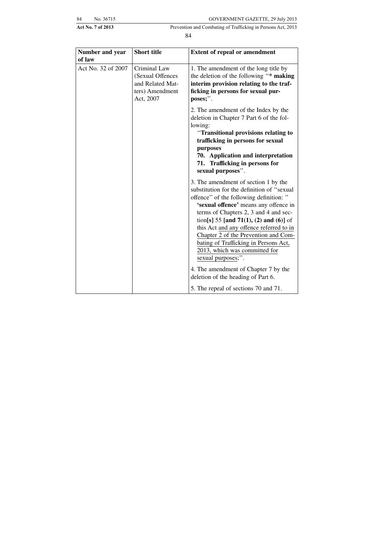| 34 | No. 36715 |
|----|-----------|
|    |           |

Act No. 7 of 2013 Prevention and Combating of Trafficking in Persons Act, 2013

| Number and year<br>of law | <b>Short title</b>                                                                   | <b>Extent of repeal or amendment</b>                                                                                                                                                                                                                                                                                                                                                                                                          |
|---------------------------|--------------------------------------------------------------------------------------|-----------------------------------------------------------------------------------------------------------------------------------------------------------------------------------------------------------------------------------------------------------------------------------------------------------------------------------------------------------------------------------------------------------------------------------------------|
| Act No. 32 of 2007        | Criminal Law<br>(Sexual Offences<br>and Related Mat-<br>ters) Amendment<br>Act, 2007 | 1. The amendment of the long title by<br>the deletion of the following "* making<br>interim provision relating to the traf-<br>ficking in persons for sexual pur-<br>poses;".                                                                                                                                                                                                                                                                 |
|                           |                                                                                      | 2. The amendment of the Index by the<br>deletion in Chapter 7 Part 6 of the fol-<br>lowing:<br>"Transitional provisions relating to<br>trafficking in persons for sexual<br>purposes<br>70. Application and interpretation<br>71. Trafficking in persons for<br>sexual purposes".                                                                                                                                                             |
|                           |                                                                                      | 3. The amendment of section 1 by the<br>substitution for the definition of "sexual"<br>offence" of the following definition: "<br>'sexual offence' means any offence in<br>terms of Chapters 2, 3 and 4 and sec-<br>tion[s] 55 [and 71(1), (2) and (6)] of<br>this Act and any offence referred to in<br>Chapter 2 of the Prevention and Com-<br>bating of Trafficking in Persons Act,<br>2013, which was committed for<br>sexual purposes;". |
|                           |                                                                                      | 4. The amendment of Chapter 7 by the<br>deletion of the heading of Part 6.<br>5. The repeal of sections 70 and 71.                                                                                                                                                                                                                                                                                                                            |